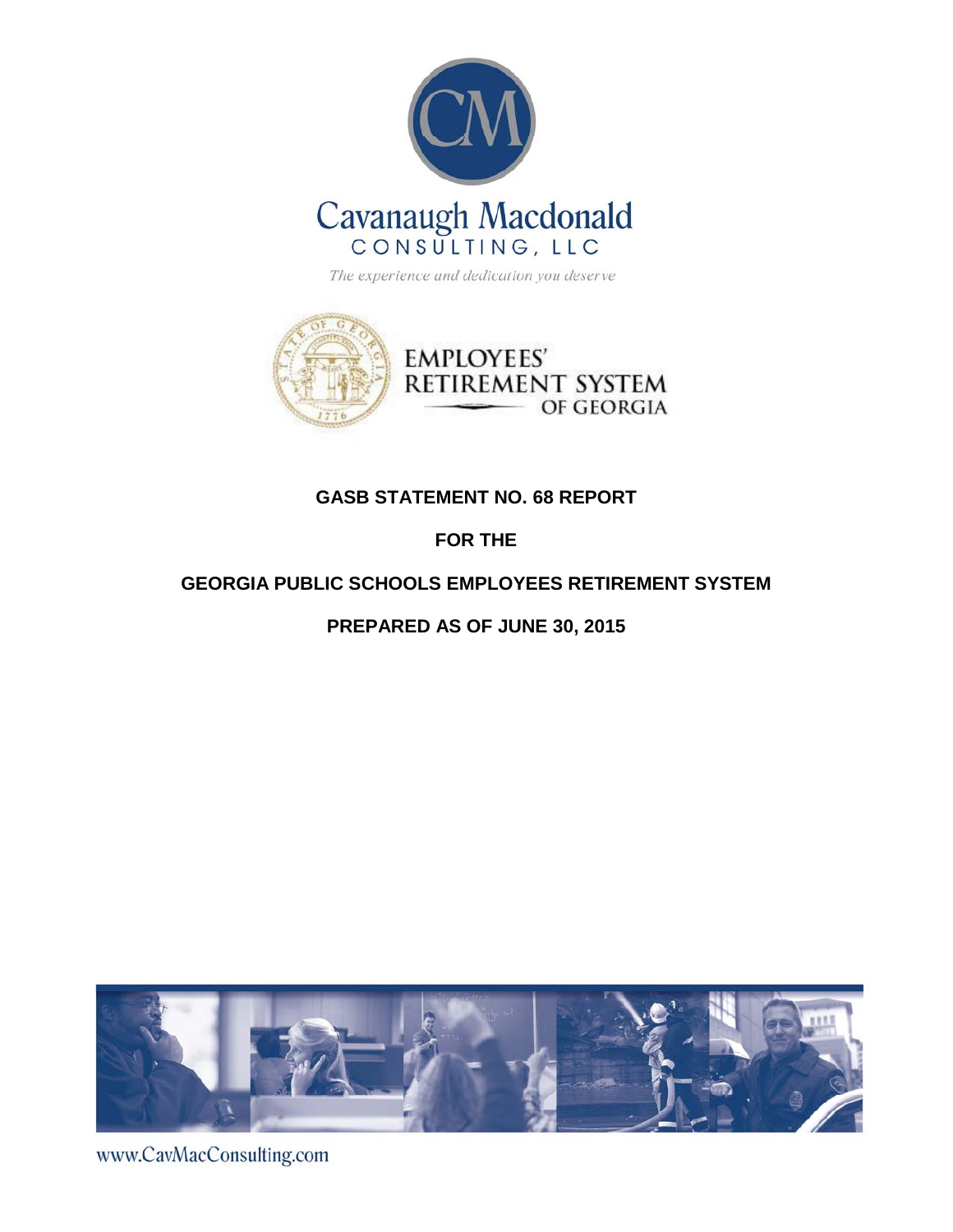



# **GASB STATEMENT NO. 68 REPORT**

# **FOR THE**

# **GEORGIA PUBLIC SCHOOLS EMPLOYEES RETIREMENT SYSTEM**

# **PREPARED AS OF JUNE 30, 2015**



www.CavMacConsulting.com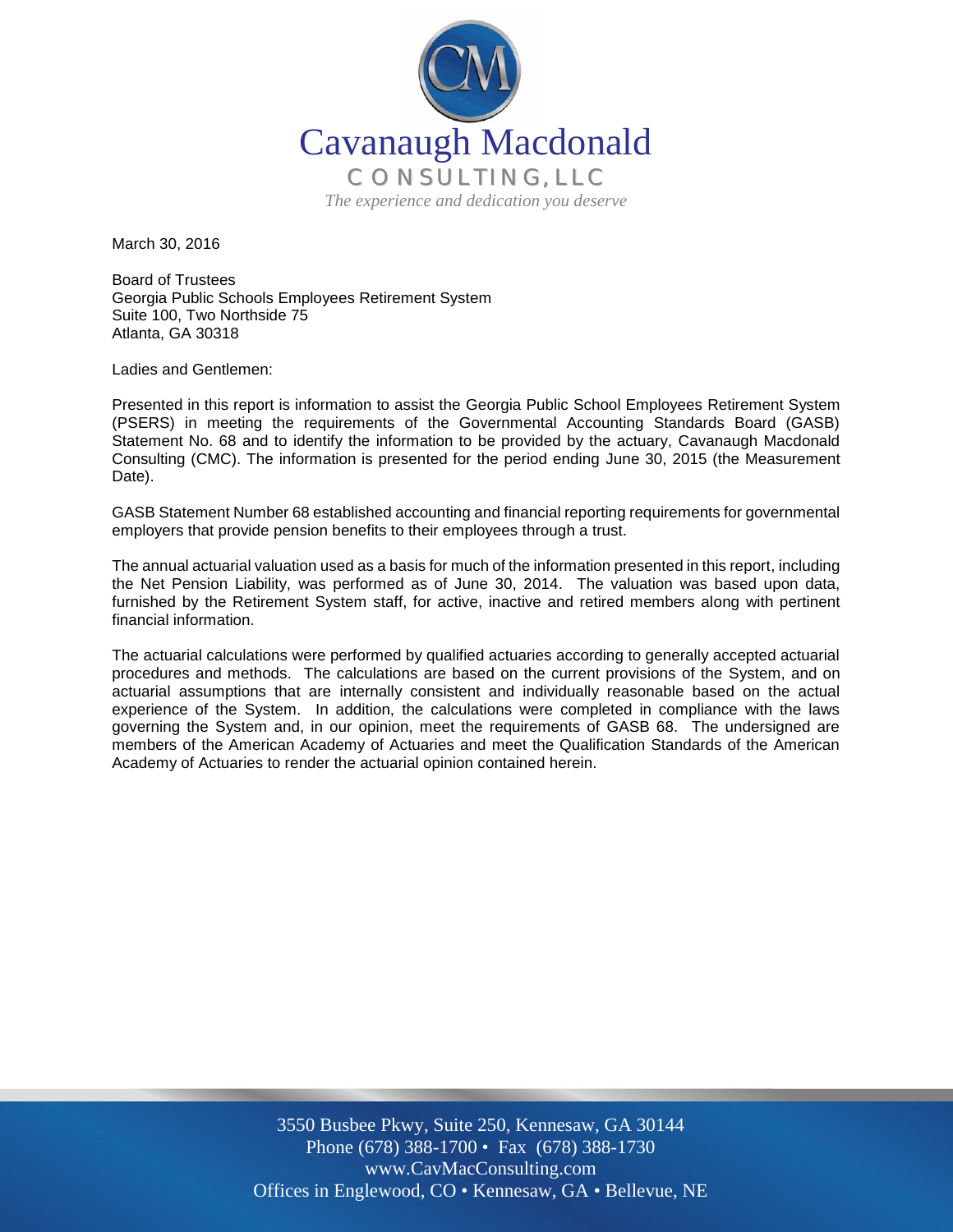

March 30, 2016

Board of Trustees Georgia Public Schools Employees Retirement System Suite 100, Two Northside 75 Atlanta, GA 30318

Ladies and Gentlemen:

Presented in this report is information to assist the Georgia Public School Employees Retirement System (PSERS) in meeting the requirements of the Governmental Accounting Standards Board (GASB) Statement No. 68 and to identify the information to be provided by the actuary, Cavanaugh Macdonald Consulting (CMC). The information is presented for the period ending June 30, 2015 (the Measurement Date).

GASB Statement Number 68 established accounting and financial reporting requirements for governmental employers that provide pension benefits to their employees through a trust.

The annual actuarial valuation used as a basis for much of the information presented in this report, including the Net Pension Liability, was performed as of June 30, 2014. The valuation was based upon data, furnished by the Retirement System staff, for active, inactive and retired members along with pertinent financial information.

The actuarial calculations were performed by qualified actuaries according to generally accepted actuarial procedures and methods. The calculations are based on the current provisions of the System, and on actuarial assumptions that are internally consistent and individually reasonable based on the actual experience of the System. In addition, the calculations were completed in compliance with the laws governing the System and, in our opinion, meet the requirements of GASB 68. The undersigned are members of the American Academy of Actuaries and meet the Qualification Standards of the American Academy of Actuaries to render the actuarial opinion contained herein.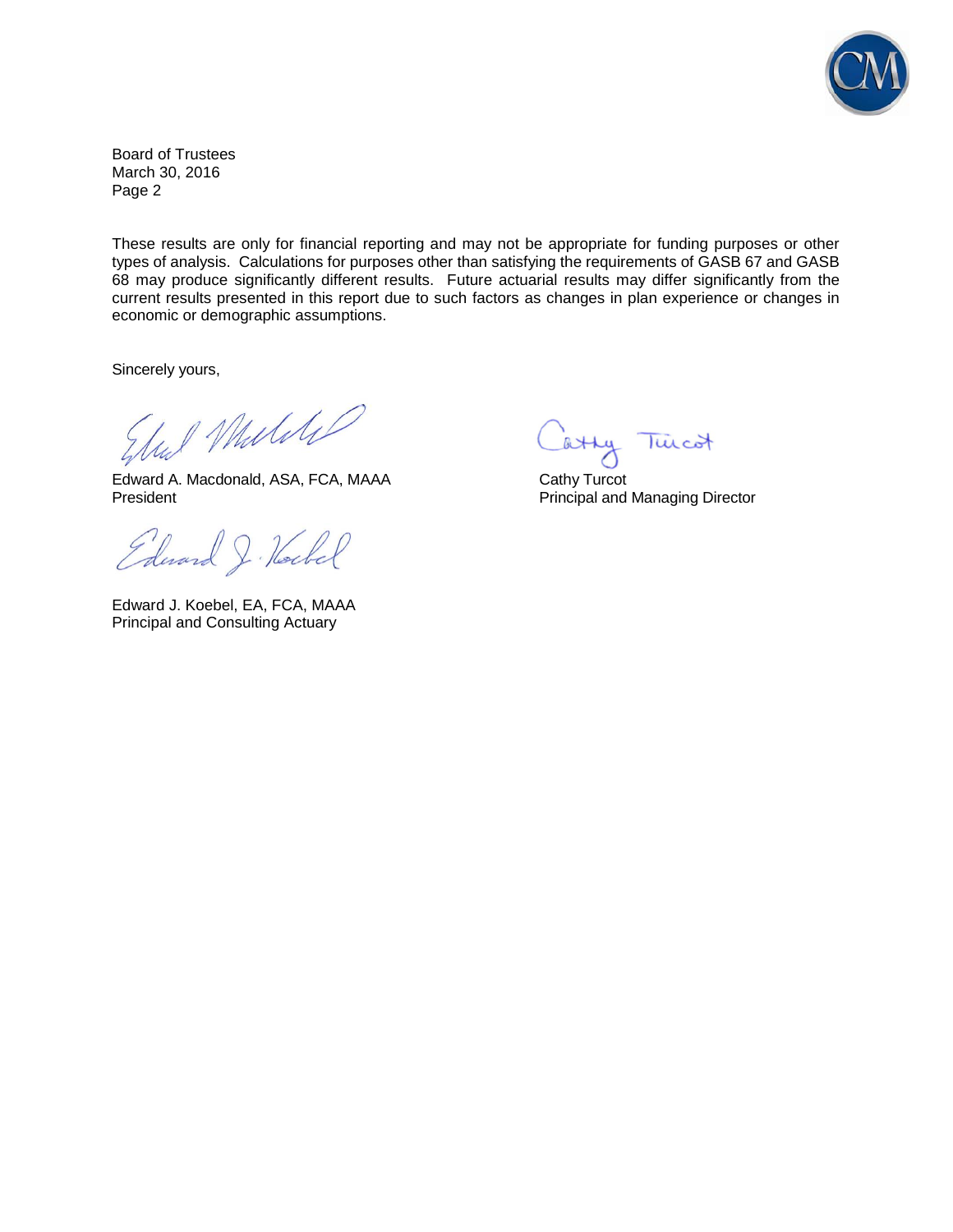

Board of Trustees March 30, 2016 Page 2

These results are only for financial reporting and may not be appropriate for funding purposes or other types of analysis. Calculations for purposes other than satisfying the requirements of GASB 67 and GASB 68 may produce significantly different results. Future actuarial results may differ significantly from the current results presented in this report due to such factors as changes in plan experience or changes in economic or demographic assumptions.

Sincerely yours,

Und Muliti

Edward A. Macdonald, ASA, FCA, MAAA Cathy Turcot President **President** Principal and Managing Director

Edward J. Hockel

Edward J. Koebel, EA, FCA, MAAA Principal and Consulting Actuary

atty Twicot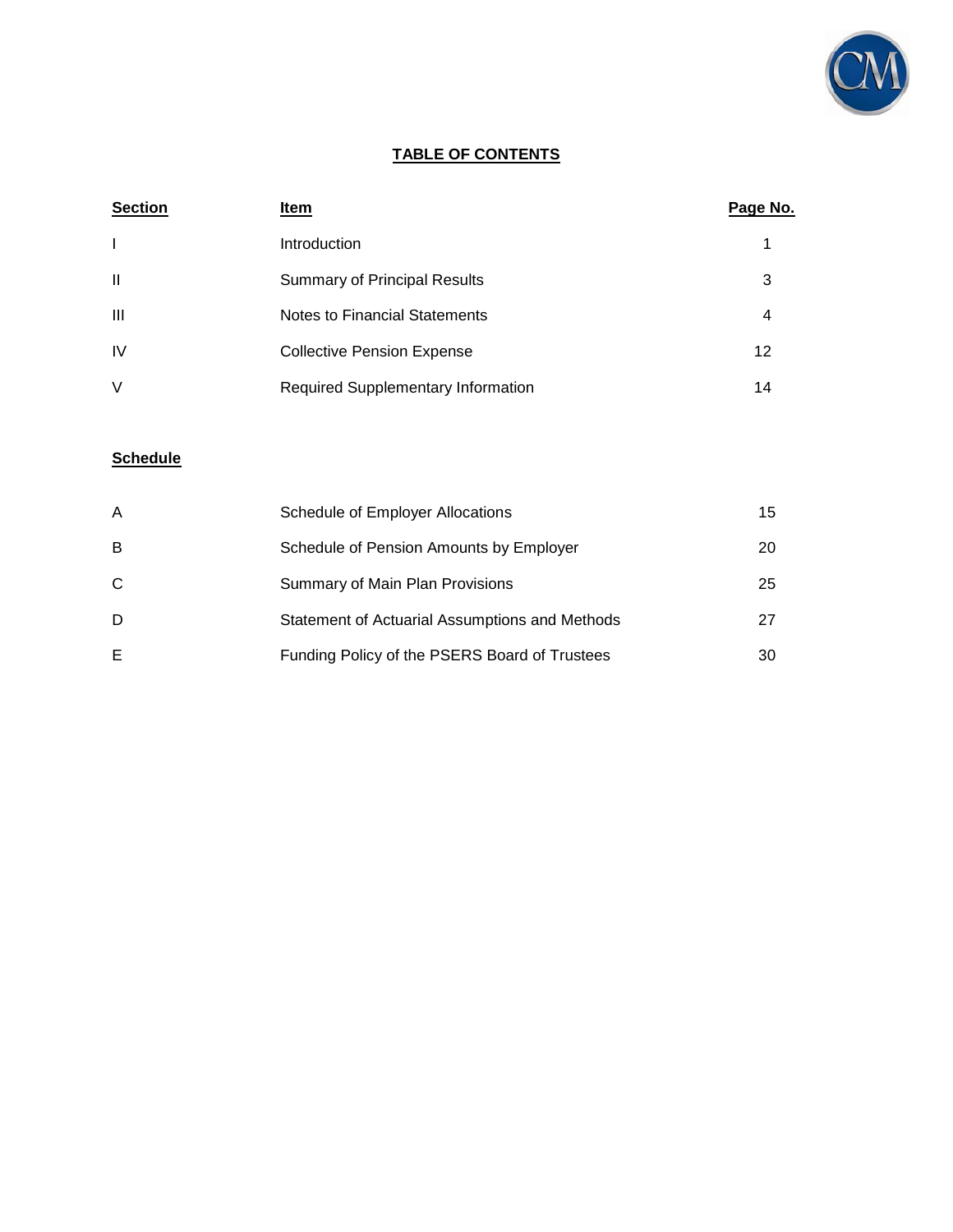

## **TABLE OF CONTENTS**

| <b>Section</b> | Item                                      | Page No. |
|----------------|-------------------------------------------|----------|
|                | Introduction                              |          |
| $\mathbf{I}$   | <b>Summary of Principal Results</b>       | 3        |
| Ш              | Notes to Financial Statements             | 4        |
| <b>IV</b>      | <b>Collective Pension Expense</b>         | 12       |
| $\vee$         | <b>Required Supplementary Information</b> | 14       |

# **Schedule**

| A | Schedule of Employer Allocations               | 15 |
|---|------------------------------------------------|----|
| B | Schedule of Pension Amounts by Employer        | 20 |
| C | Summary of Main Plan Provisions                | 25 |
| D | Statement of Actuarial Assumptions and Methods | 27 |
| Е | Funding Policy of the PSERS Board of Trustees  | 30 |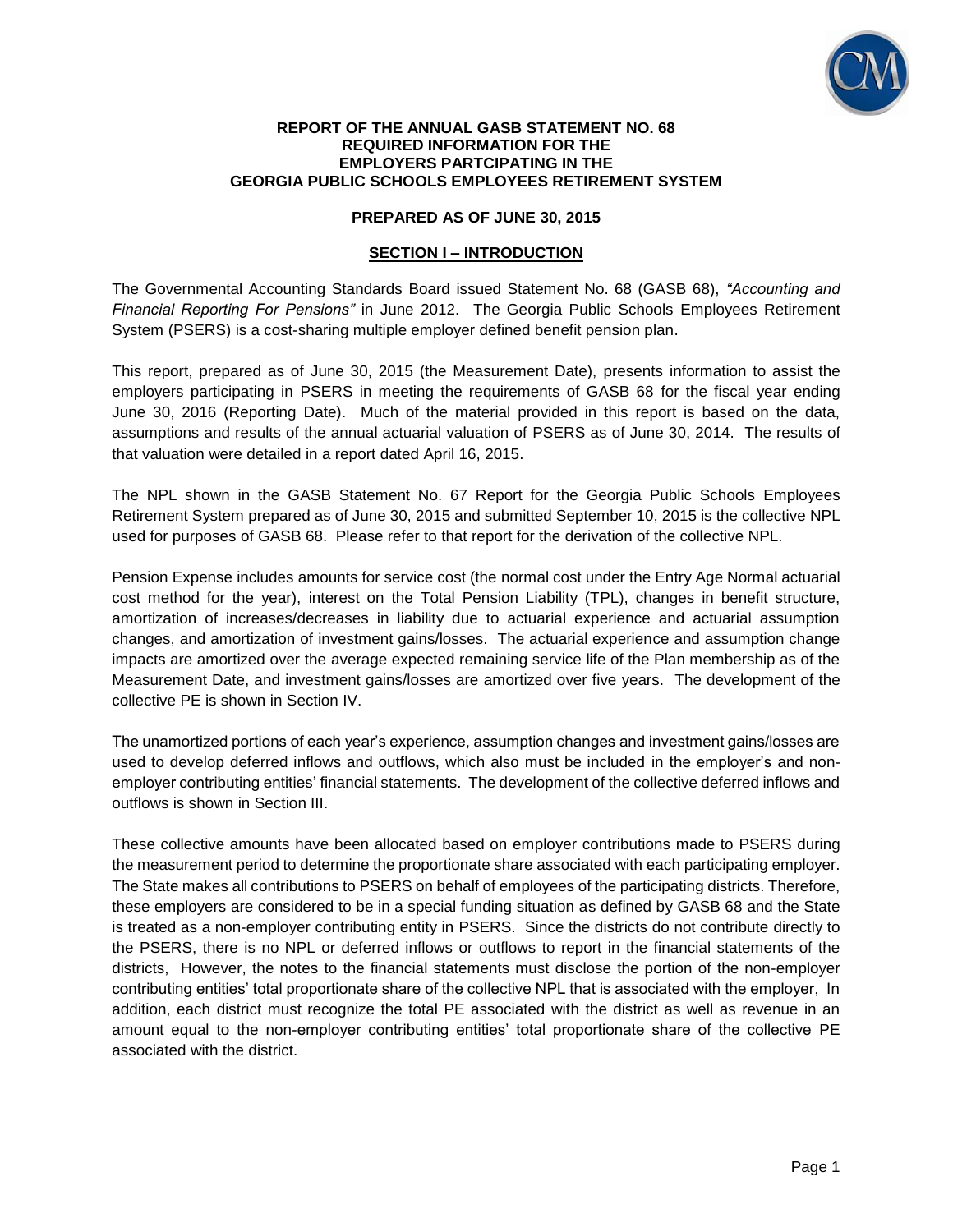

#### **REPORT OF THE ANNUAL GASB STATEMENT NO. 68 REQUIRED INFORMATION FOR THE EMPLOYERS PARTCIPATING IN THE GEORGIA PUBLIC SCHOOLS EMPLOYEES RETIREMENT SYSTEM**

## **PREPARED AS OF JUNE 30, 2015**

## **SECTION I – INTRODUCTION**

The Governmental Accounting Standards Board issued Statement No. 68 (GASB 68), *"Accounting and Financial Reporting For Pensions"* in June 2012. The Georgia Public Schools Employees Retirement System (PSERS) is a cost-sharing multiple employer defined benefit pension plan.

This report, prepared as of June 30, 2015 (the Measurement Date), presents information to assist the employers participating in PSERS in meeting the requirements of GASB 68 for the fiscal year ending June 30, 2016 (Reporting Date). Much of the material provided in this report is based on the data, assumptions and results of the annual actuarial valuation of PSERS as of June 30, 2014. The results of that valuation were detailed in a report dated April 16, 2015.

The NPL shown in the GASB Statement No. 67 Report for the Georgia Public Schools Employees Retirement System prepared as of June 30, 2015 and submitted September 10, 2015 is the collective NPL used for purposes of GASB 68. Please refer to that report for the derivation of the collective NPL.

Pension Expense includes amounts for service cost (the normal cost under the Entry Age Normal actuarial cost method for the year), interest on the Total Pension Liability (TPL), changes in benefit structure, amortization of increases/decreases in liability due to actuarial experience and actuarial assumption changes, and amortization of investment gains/losses. The actuarial experience and assumption change impacts are amortized over the average expected remaining service life of the Plan membership as of the Measurement Date, and investment gains/losses are amortized over five years. The development of the collective PE is shown in Section IV.

The unamortized portions of each year's experience, assumption changes and investment gains/losses are used to develop deferred inflows and outflows, which also must be included in the employer's and nonemployer contributing entities' financial statements. The development of the collective deferred inflows and outflows is shown in Section III.

These collective amounts have been allocated based on employer contributions made to PSERS during the measurement period to determine the proportionate share associated with each participating employer. The State makes all contributions to PSERS on behalf of employees of the participating districts. Therefore, these employers are considered to be in a special funding situation as defined by GASB 68 and the State is treated as a non-employer contributing entity in PSERS. Since the districts do not contribute directly to the PSERS, there is no NPL or deferred inflows or outflows to report in the financial statements of the districts, However, the notes to the financial statements must disclose the portion of the non-employer contributing entities' total proportionate share of the collective NPL that is associated with the employer, In addition, each district must recognize the total PE associated with the district as well as revenue in an amount equal to the non-employer contributing entities' total proportionate share of the collective PE associated with the district.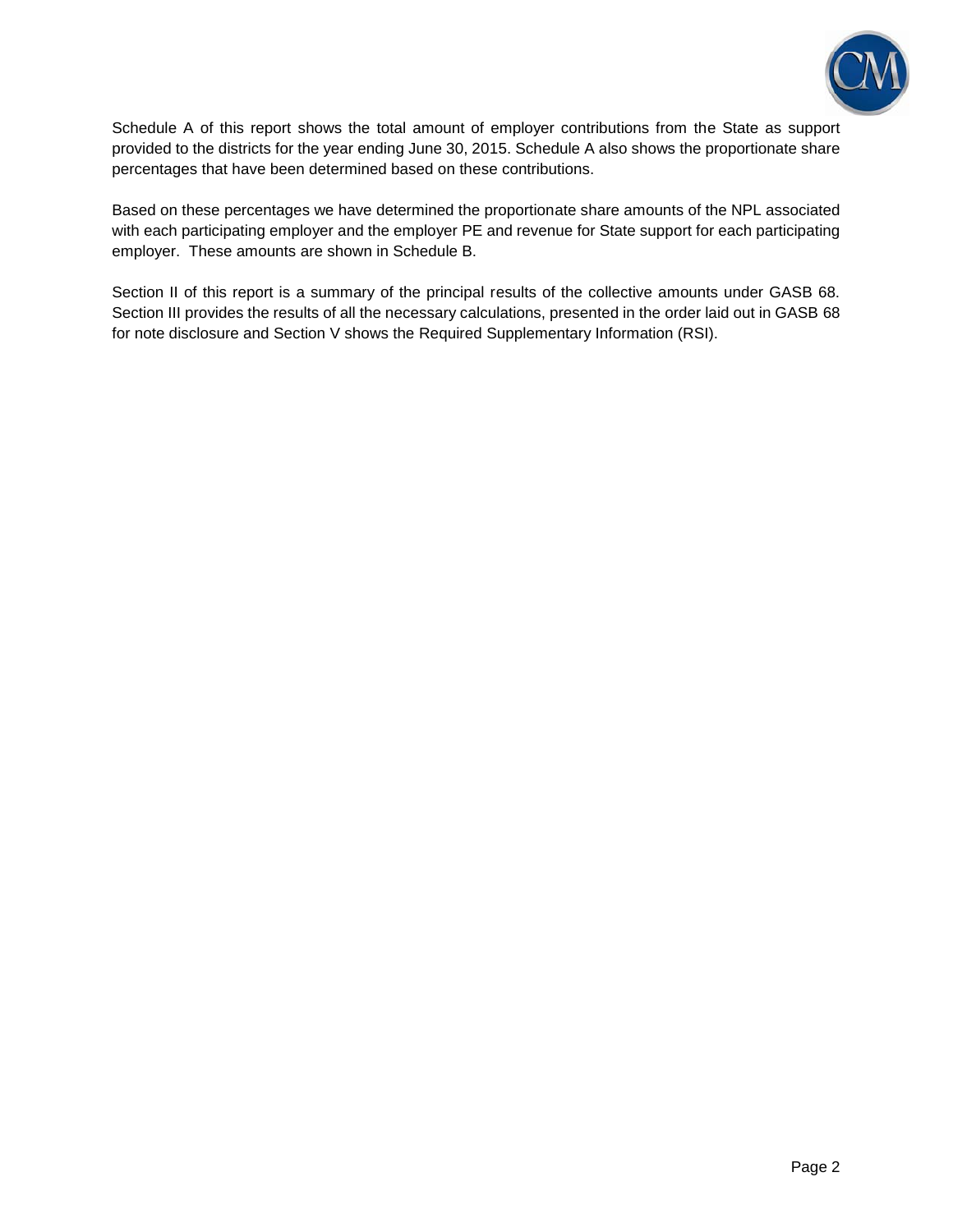

Schedule A of this report shows the total amount of employer contributions from the State as support provided to the districts for the year ending June 30, 2015. Schedule A also shows the proportionate share percentages that have been determined based on these contributions.

Based on these percentages we have determined the proportionate share amounts of the NPL associated with each participating employer and the employer PE and revenue for State support for each participating employer. These amounts are shown in Schedule B.

Section II of this report is a summary of the principal results of the collective amounts under GASB 68. Section III provides the results of all the necessary calculations, presented in the order laid out in GASB 68 for note disclosure and Section V shows the Required Supplementary Information (RSI).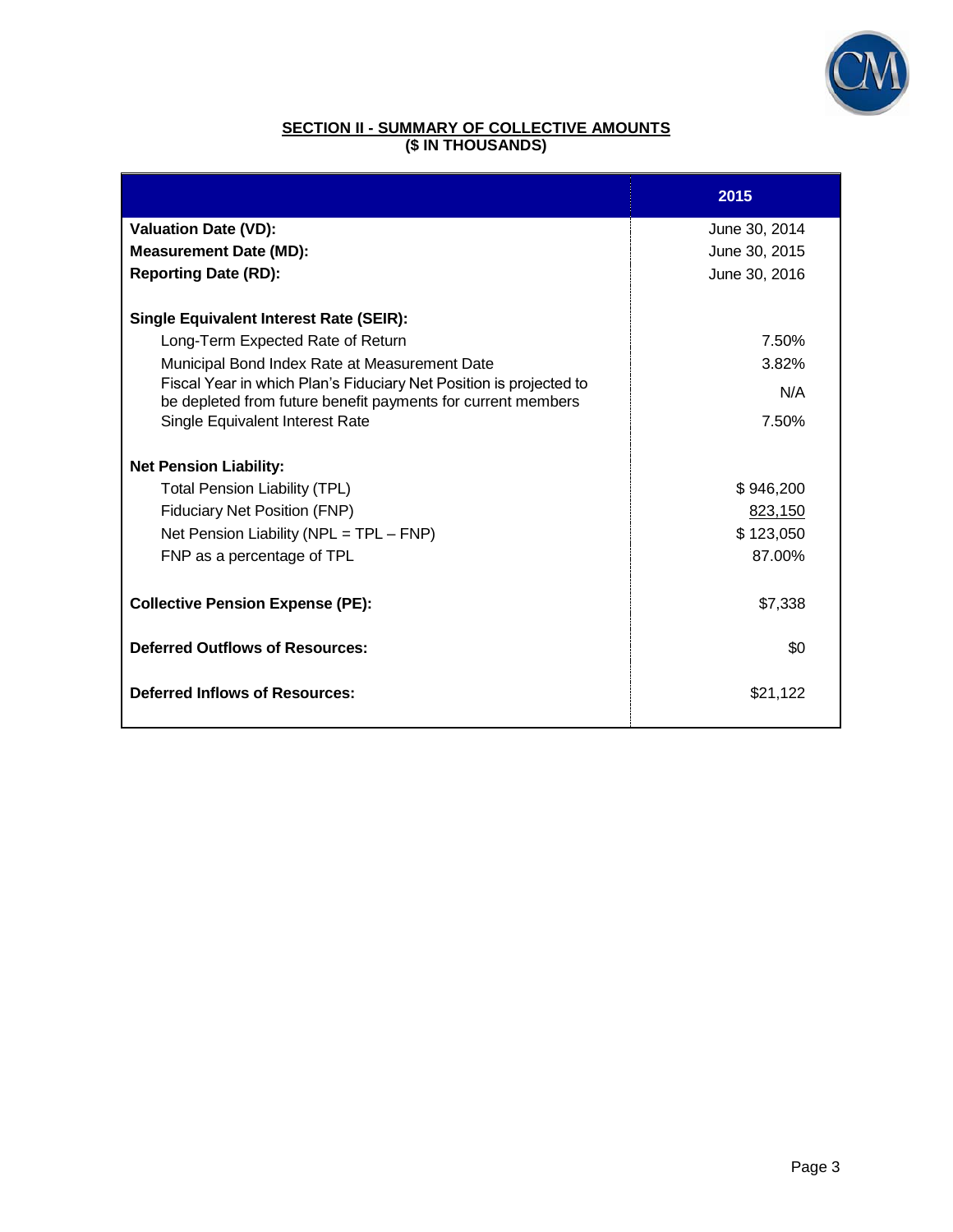

## **SECTION II - SUMMARY OF COLLECTIVE AMOUNTS (\$ IN THOUSANDS)**

|                                                                                                                                    | 2015          |
|------------------------------------------------------------------------------------------------------------------------------------|---------------|
| <b>Valuation Date (VD):</b>                                                                                                        | June 30, 2014 |
| <b>Measurement Date (MD):</b>                                                                                                      | June 30, 2015 |
| <b>Reporting Date (RD):</b>                                                                                                        | June 30, 2016 |
| <b>Single Equivalent Interest Rate (SEIR):</b>                                                                                     |               |
| Long-Term Expected Rate of Return                                                                                                  | 7.50%         |
| Municipal Bond Index Rate at Measurement Date                                                                                      | 3.82%         |
| Fiscal Year in which Plan's Fiduciary Net Position is projected to<br>be depleted from future benefit payments for current members | N/A           |
| Single Equivalent Interest Rate                                                                                                    | 7.50%         |
| <b>Net Pension Liability:</b>                                                                                                      |               |
| <b>Total Pension Liability (TPL)</b>                                                                                               | \$946,200     |
| <b>Fiduciary Net Position (FNP)</b>                                                                                                | 823,150       |
| Net Pension Liability (NPL = TPL - FNP)                                                                                            | \$123,050     |
| FNP as a percentage of TPL                                                                                                         | 87.00%        |
| <b>Collective Pension Expense (PE):</b>                                                                                            | \$7,338       |
| <b>Deferred Outflows of Resources:</b>                                                                                             | \$0           |
| <b>Deferred Inflows of Resources:</b>                                                                                              | \$21,122      |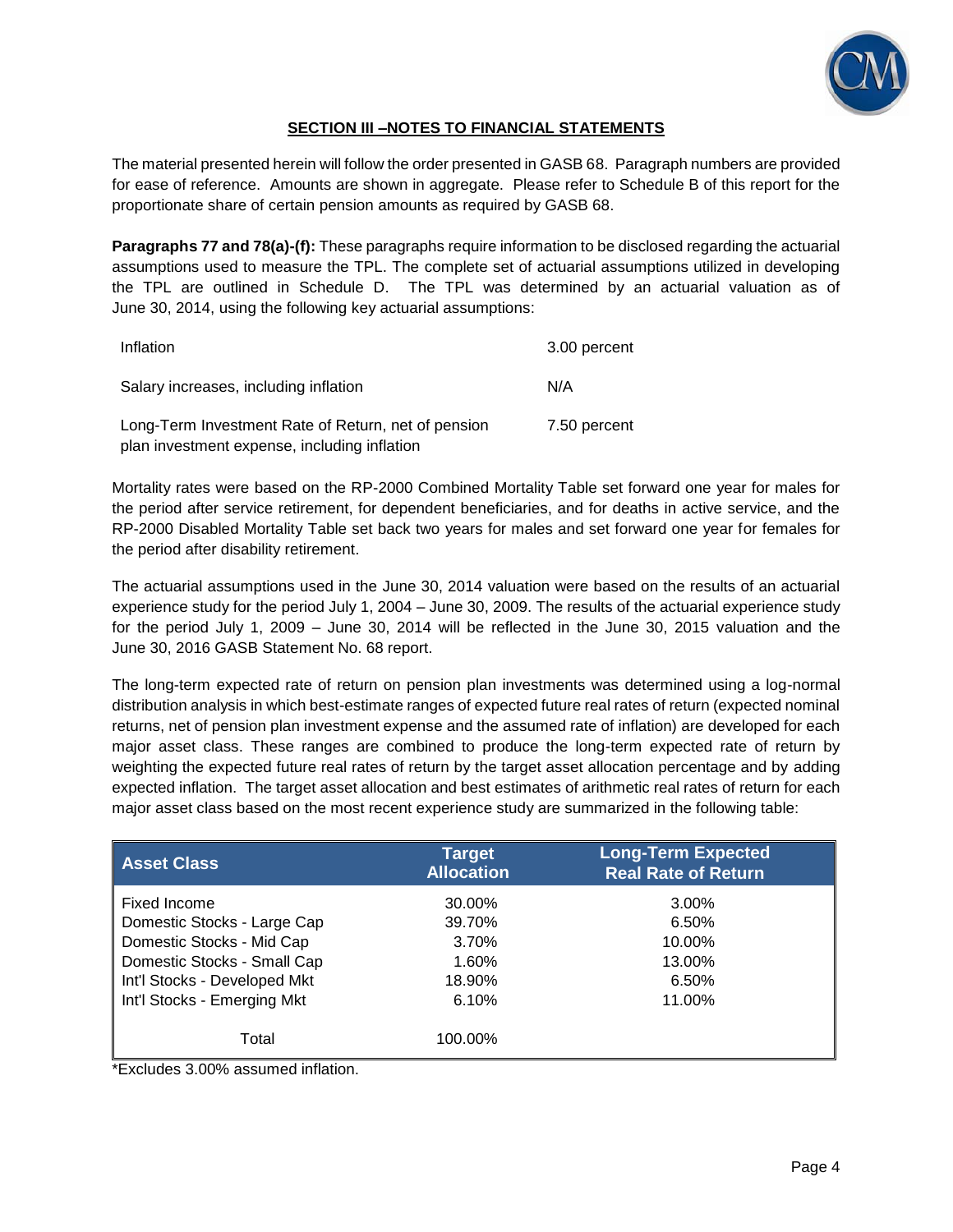

## **SECTION III –NOTES TO FINANCIAL STATEMENTS**

The material presented herein will follow the order presented in GASB 68. Paragraph numbers are provided for ease of reference. Amounts are shown in aggregate. Please refer to Schedule B of this report for the proportionate share of certain pension amounts as required by GASB 68.

**Paragraphs 77 and 78(a)-(f):** These paragraphs require information to be disclosed regarding the actuarial assumptions used to measure the TPL. The complete set of actuarial assumptions utilized in developing the TPL are outlined in Schedule D. The TPL was determined by an actuarial valuation as of June 30, 2014, using the following key actuarial assumptions:

| Inflation                                                                                           | 3.00 percent |
|-----------------------------------------------------------------------------------------------------|--------------|
| Salary increases, including inflation                                                               | N/A          |
| Long-Term Investment Rate of Return, net of pension<br>plan investment expense, including inflation | 7.50 percent |

Mortality rates were based on the RP-2000 Combined Mortality Table set forward one year for males for the period after service retirement, for dependent beneficiaries, and for deaths in active service, and the RP-2000 Disabled Mortality Table set back two years for males and set forward one year for females for the period after disability retirement.

The actuarial assumptions used in the June 30, 2014 valuation were based on the results of an actuarial experience study for the period July 1, 2004 – June 30, 2009. The results of the actuarial experience study for the period July 1, 2009 – June 30, 2014 will be reflected in the June 30, 2015 valuation and the June 30, 2016 GASB Statement No. 68 report.

The long-term expected rate of return on pension plan investments was determined using a log-normal distribution analysis in which best-estimate ranges of expected future real rates of return (expected nominal returns, net of pension plan investment expense and the assumed rate of inflation) are developed for each major asset class. These ranges are combined to produce the long-term expected rate of return by weighting the expected future real rates of return by the target asset allocation percentage and by adding expected inflation. The target asset allocation and best estimates of arithmetic real rates of return for each major asset class based on the most recent experience study are summarized in the following table:

| <b>Asset Class</b>           | <b>Target</b><br><b>Allocation</b> | <b>Long-Term Expected</b><br><b>Real Rate of Return</b> |
|------------------------------|------------------------------------|---------------------------------------------------------|
| Fixed Income                 | 30.00%                             | 3.00%                                                   |
| Domestic Stocks - Large Cap  | 39.70%                             | 6.50%                                                   |
| Domestic Stocks - Mid Cap    | 3.70%                              | 10.00%                                                  |
| Domestic Stocks - Small Cap  | 1.60%                              | 13.00%                                                  |
| Int'l Stocks - Developed Mkt | 18.90%                             | 6.50%                                                   |
| Int'l Stocks - Emerging Mkt  | 6.10%                              | 11.00%                                                  |
| Total                        | 100.00%                            |                                                         |

\*Excludes 3.00% assumed inflation.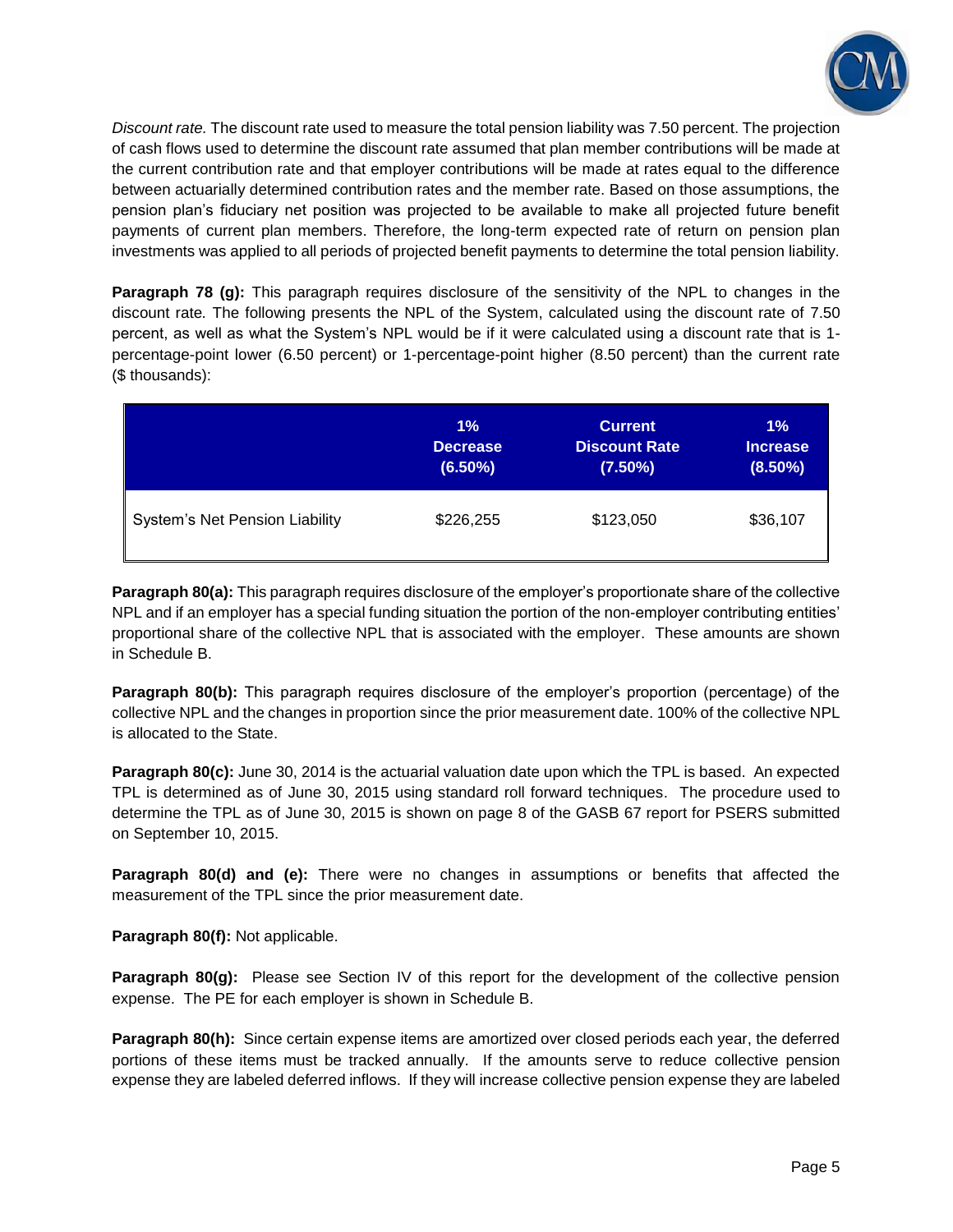

*Discount rate.* The discount rate used to measure the total pension liability was 7.50 percent. The projection of cash flows used to determine the discount rate assumed that plan member contributions will be made at the current contribution rate and that employer contributions will be made at rates equal to the difference between actuarially determined contribution rates and the member rate. Based on those assumptions, the pension plan's fiduciary net position was projected to be available to make all projected future benefit payments of current plan members. Therefore, the long-term expected rate of return on pension plan investments was applied to all periods of projected benefit payments to determine the total pension liability.

**Paragraph 78 (g):** This paragraph requires disclosure of the sensitivity of the NPL to changes in the discount rate*.* The following presents the NPL of the System, calculated using the discount rate of 7.50 percent, as well as what the System's NPL would be if it were calculated using a discount rate that is 1 percentage-point lower (6.50 percent) or 1-percentage-point higher (8.50 percent) than the current rate (\$ thousands):

|                                       | 1%              | <b>Current</b>       | $1\%$           |
|---------------------------------------|-----------------|----------------------|-----------------|
|                                       | <b>Decrease</b> | <b>Discount Rate</b> | <b>Increase</b> |
|                                       | $(6.50\%)$      | $(7.50\%)$           | $(8.50\%)$      |
| <b>System's Net Pension Liability</b> | \$226,255       | \$123,050            | \$36,107        |

**Paragraph 80(a):** This paragraph requires disclosure of the employer's proportionate share of the collective NPL and if an employer has a special funding situation the portion of the non-employer contributing entities' proportional share of the collective NPL that is associated with the employer. These amounts are shown in Schedule B.

**Paragraph 80(b):** This paragraph requires disclosure of the employer's proportion (percentage) of the collective NPL and the changes in proportion since the prior measurement date. 100% of the collective NPL is allocated to the State.

**Paragraph 80(c):** June 30, 2014 is the actuarial valuation date upon which the TPL is based. An expected TPL is determined as of June 30, 2015 using standard roll forward techniques. The procedure used to determine the TPL as of June 30, 2015 is shown on page 8 of the GASB 67 report for PSERS submitted on September 10, 2015.

**Paragraph 80(d) and (e):** There were no changes in assumptions or benefits that affected the measurement of the TPL since the prior measurement date.

**Paragraph 80(f):** Not applicable.

**Paragraph 80(g):** Please see Section IV of this report for the development of the collective pension expense. The PE for each employer is shown in Schedule B.

**Paragraph 80(h):** Since certain expense items are amortized over closed periods each year, the deferred portions of these items must be tracked annually. If the amounts serve to reduce collective pension expense they are labeled deferred inflows. If they will increase collective pension expense they are labeled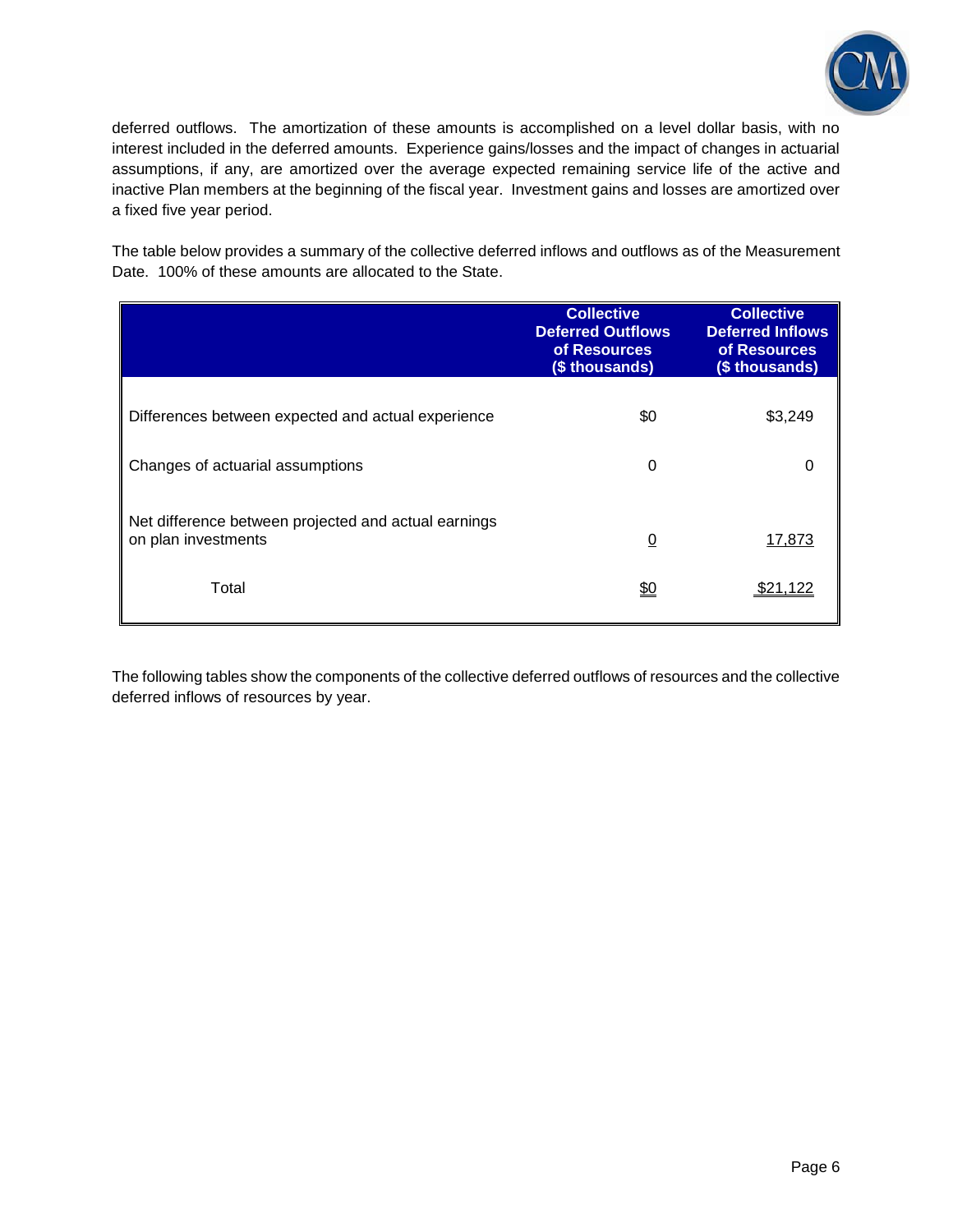

deferred outflows. The amortization of these amounts is accomplished on a level dollar basis, with no interest included in the deferred amounts. Experience gains/losses and the impact of changes in actuarial assumptions, if any, are amortized over the average expected remaining service life of the active and inactive Plan members at the beginning of the fiscal year. Investment gains and losses are amortized over a fixed five year period.

The table below provides a summary of the collective deferred inflows and outflows as of the Measurement Date. 100% of these amounts are allocated to the State.

|                                                                             | <b>Collective</b><br><b>Deferred Outflows</b><br>of Resources<br>(\$ thousands) | <b>Collective</b><br><b>Deferred Inflows</b><br>of Resources<br>(\$ thousands) |
|-----------------------------------------------------------------------------|---------------------------------------------------------------------------------|--------------------------------------------------------------------------------|
| Differences between expected and actual experience                          | \$0                                                                             | \$3,249                                                                        |
| Changes of actuarial assumptions                                            | $\Omega$                                                                        | 0                                                                              |
| Net difference between projected and actual earnings<br>on plan investments | $\Omega$                                                                        | 17,873                                                                         |
| Total                                                                       | <u>\$0</u>                                                                      | <u>\$21,122</u>                                                                |

The following tables show the components of the collective deferred outflows of resources and the collective deferred inflows of resources by year.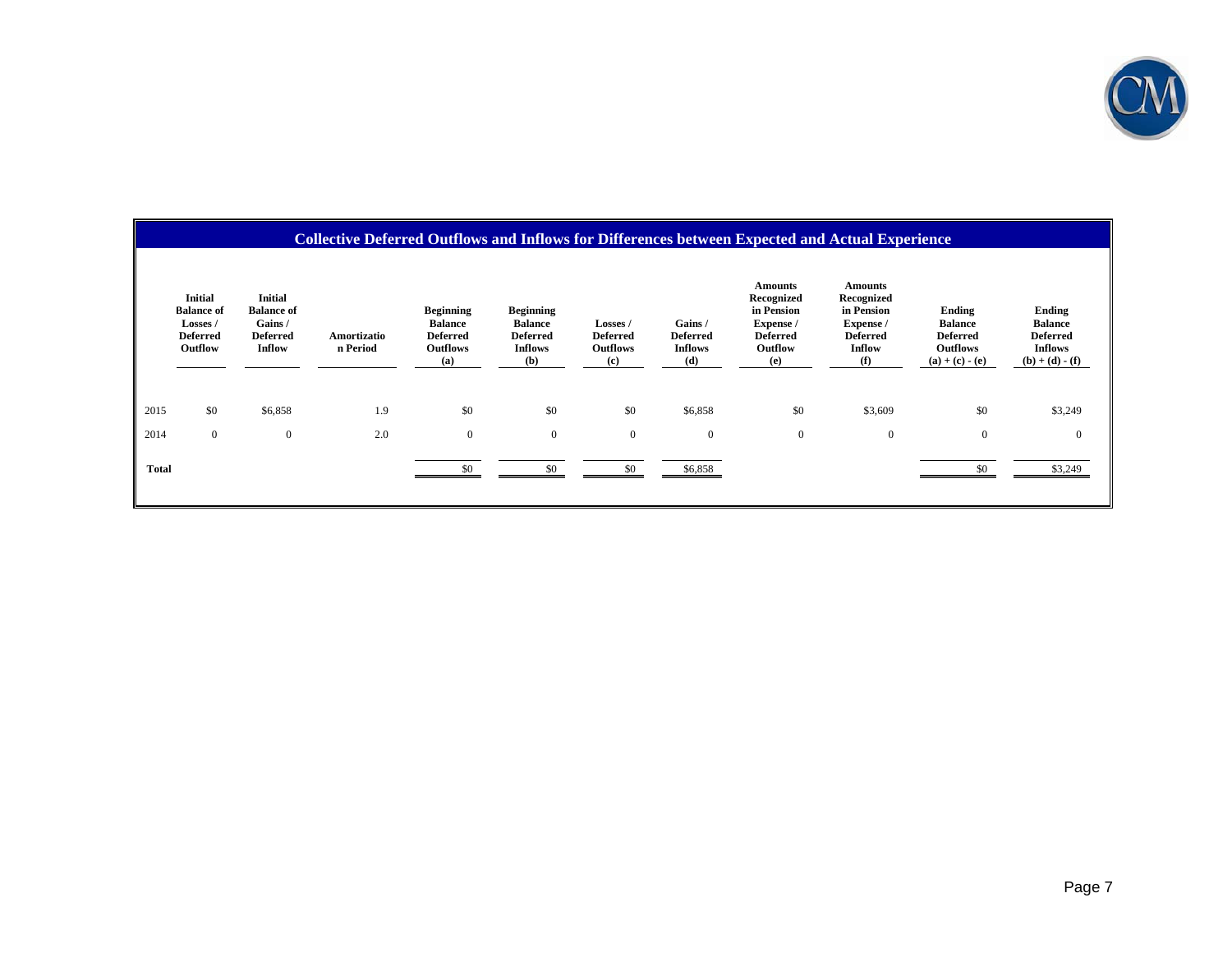

## **Collective Deferred Outflows and Inflows for Differences between Expected and Actual Experience**

|              | <b>Initial</b><br><b>Balance of</b><br>Losses /<br><b>Deferred</b><br>Outflow | <b>Initial</b><br><b>Balance of</b><br>Gains/<br><b>Deferred</b><br>Inflow | Amortizatio<br>n Period | <b>Beginning</b><br><b>Balance</b><br><b>Deferred</b><br><b>Outflows</b><br>(a) | <b>Beginning</b><br><b>Balance</b><br><b>Deferred</b><br><b>Inflows</b><br>(b) | Losses /<br><b>Deferred</b><br><b>Outflows</b><br>(c) | Gains /<br><b>Deferred</b><br><b>Inflows</b><br>(d) | <b>Amounts</b><br>Recognized<br>in Pension<br>Expense /<br><b>Deferred</b><br>Outflow<br>(e) | <b>Amounts</b><br>Recognized<br>in Pension<br>Expense /<br><b>Deferred</b><br>Inflow<br>(f) | Ending<br><b>Balance</b><br><b>Deferred</b><br><b>Outflows</b><br>$(a) + (c) - (e)$ | Ending<br><b>Balance</b><br><b>Deferred</b><br><b>Inflows</b><br>$(b) + (d) - (f)$ |
|--------------|-------------------------------------------------------------------------------|----------------------------------------------------------------------------|-------------------------|---------------------------------------------------------------------------------|--------------------------------------------------------------------------------|-------------------------------------------------------|-----------------------------------------------------|----------------------------------------------------------------------------------------------|---------------------------------------------------------------------------------------------|-------------------------------------------------------------------------------------|------------------------------------------------------------------------------------|
| 2015         | \$0                                                                           | \$6,858                                                                    | 1.9                     | \$0                                                                             | \$0                                                                            | \$0                                                   | \$6,858                                             | \$0                                                                                          | \$3,609                                                                                     | \$0                                                                                 | \$3,249                                                                            |
| 2014         | $\overline{0}$                                                                | $\mathbf{0}$                                                               | 2.0                     | $\bf{0}$                                                                        | $\mathbf{0}$                                                                   | $\mathbf{0}$                                          | $\boldsymbol{0}$                                    | $\overline{0}$                                                                               | 0                                                                                           | $\overline{0}$                                                                      | $\mathbf{0}$                                                                       |
| <b>Total</b> |                                                                               |                                                                            |                         |                                                                                 | \$0                                                                            | \$0                                                   | \$6,858                                             |                                                                                              |                                                                                             |                                                                                     | \$3,249                                                                            |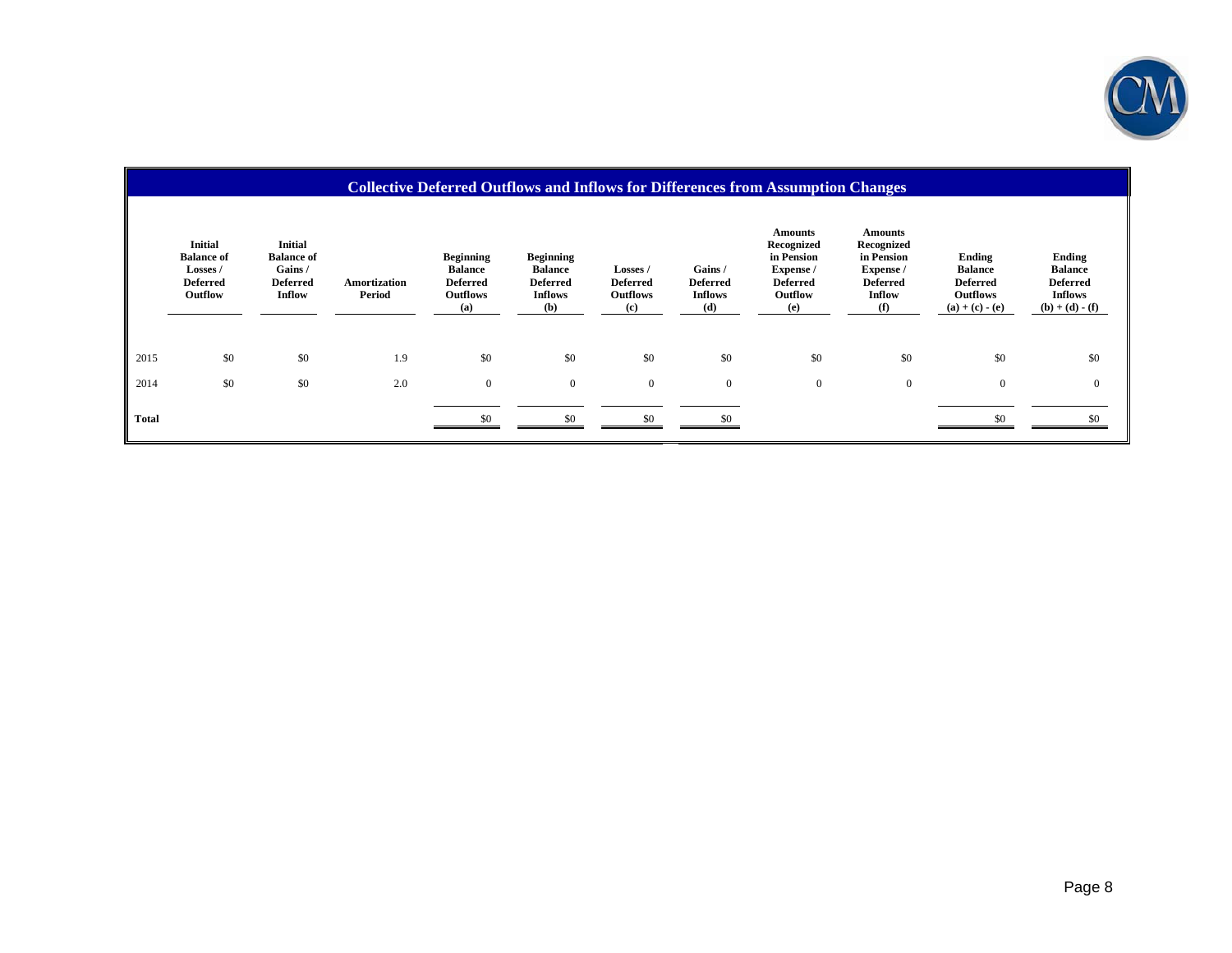

|              | <b>Collective Deferred Outflows and Inflows for Differences from Assumption Changes</b> |                                                                            |                        |                                                                                 |                                                                                |                                                       |                                                    |                                                                                              |                                                                                             |                                                                                     |                                                                             |
|--------------|-----------------------------------------------------------------------------------------|----------------------------------------------------------------------------|------------------------|---------------------------------------------------------------------------------|--------------------------------------------------------------------------------|-------------------------------------------------------|----------------------------------------------------|----------------------------------------------------------------------------------------------|---------------------------------------------------------------------------------------------|-------------------------------------------------------------------------------------|-----------------------------------------------------------------------------|
|              | <b>Initial</b><br><b>Balance of</b><br>Losses /<br><b>Deferred</b><br>Outflow           | <b>Initial</b><br><b>Balance of</b><br>Gains/<br><b>Deferred</b><br>Inflow | Amortization<br>Period | <b>Beginning</b><br><b>Balance</b><br><b>Deferred</b><br><b>Outflows</b><br>(a) | <b>Beginning</b><br><b>Balance</b><br><b>Deferred</b><br><b>Inflows</b><br>(b) | Losses /<br><b>Deferred</b><br><b>Outflows</b><br>(c) | Gains/<br><b>Deferred</b><br><b>Inflows</b><br>(d) | <b>Amounts</b><br>Recognized<br>in Pension<br>Expense /<br><b>Deferred</b><br>Outflow<br>(e) | <b>Amounts</b><br>Recognized<br>in Pension<br>Expense /<br><b>Deferred</b><br>Inflow<br>(f) | Ending<br><b>Balance</b><br><b>Deferred</b><br><b>Outflows</b><br>$(a) + (c) - (e)$ | Ending<br><b>Balance</b><br><b>Deferred</b><br>Inflows<br>$(b) + (d) - (f)$ |
| 2015         | \$0                                                                                     | \$0                                                                        | 1.9                    | \$0                                                                             | \$0                                                                            | \$0                                                   | \$0                                                | \$0                                                                                          | \$0                                                                                         | \$0                                                                                 | \$0                                                                         |
| 2014         | \$0                                                                                     | \$0                                                                        | 2.0                    | $\mathbf{0}$                                                                    | $\overline{0}$                                                                 | $\mathbf{0}$                                          | $\mathbf{0}$                                       | $\mathbf{0}$                                                                                 | $\mathbf{0}$                                                                                | $\mathbf{0}$                                                                        | $\mathbf{0}$                                                                |
| <b>Total</b> |                                                                                         |                                                                            |                        | \$0                                                                             | \$0                                                                            | \$0                                                   |                                                    |                                                                                              |                                                                                             | \$0                                                                                 | \$0                                                                         |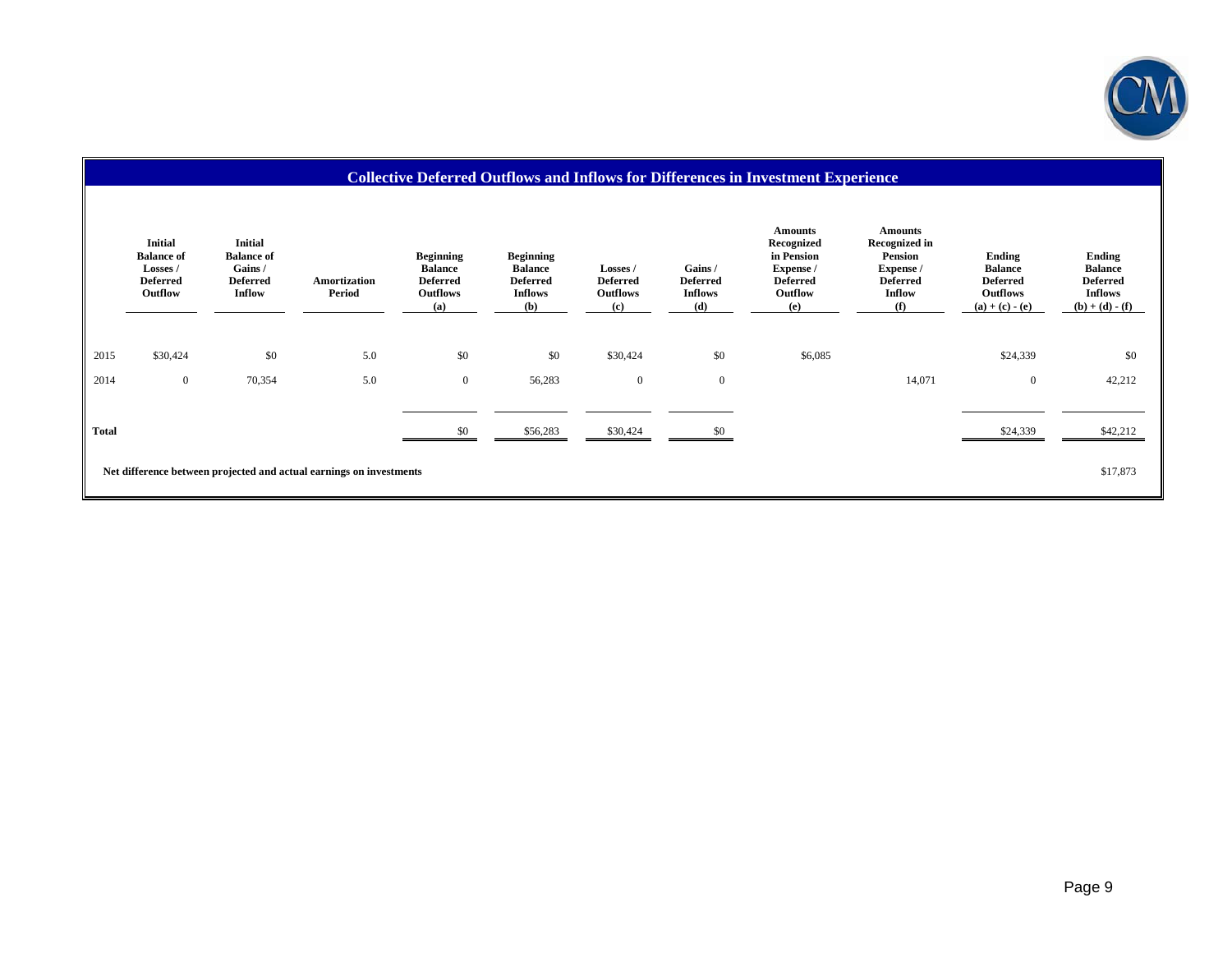

#### **Collective Deferred Outflows and Inflows for Differences in Investment Experience Initial Balance of Losses / Deferred Outflow Initial Balance of Gains / Deferred Inflow Amortization Period Beginning Balance Deferred Outflows Beginning Balance Deferred Inflows Losses / Deferred Outflows Gains / Deferred Inflows Amounts Recognized in Pension Expense / Deferred Outflow Amounts Recognized in Pension Expense / Deferred Inflow Ending Balance Deferred Outflows**<br>(a) + (c) - (e) **Ending Balance Deferred Inflows**<br>(**b**) + (**d**) - (**f**) **(a) (b) (c) (d) (e) (f) (a) + (c) - (e) (b) + (d) - (f)** 2015 \$30,424 \$0 \$0 5.0 \$0 \$0 \$30,424 \$0 \$6,085 \$24,339 \$0 2014 0 70,354 5.0 0 56,283 0 0 14,071 0 42,212 **Total** \$0 \$56,283 \$30,424 \$0 \$24,339 \$42,212 **Net difference between projected and actual earnings on investments** \$17,873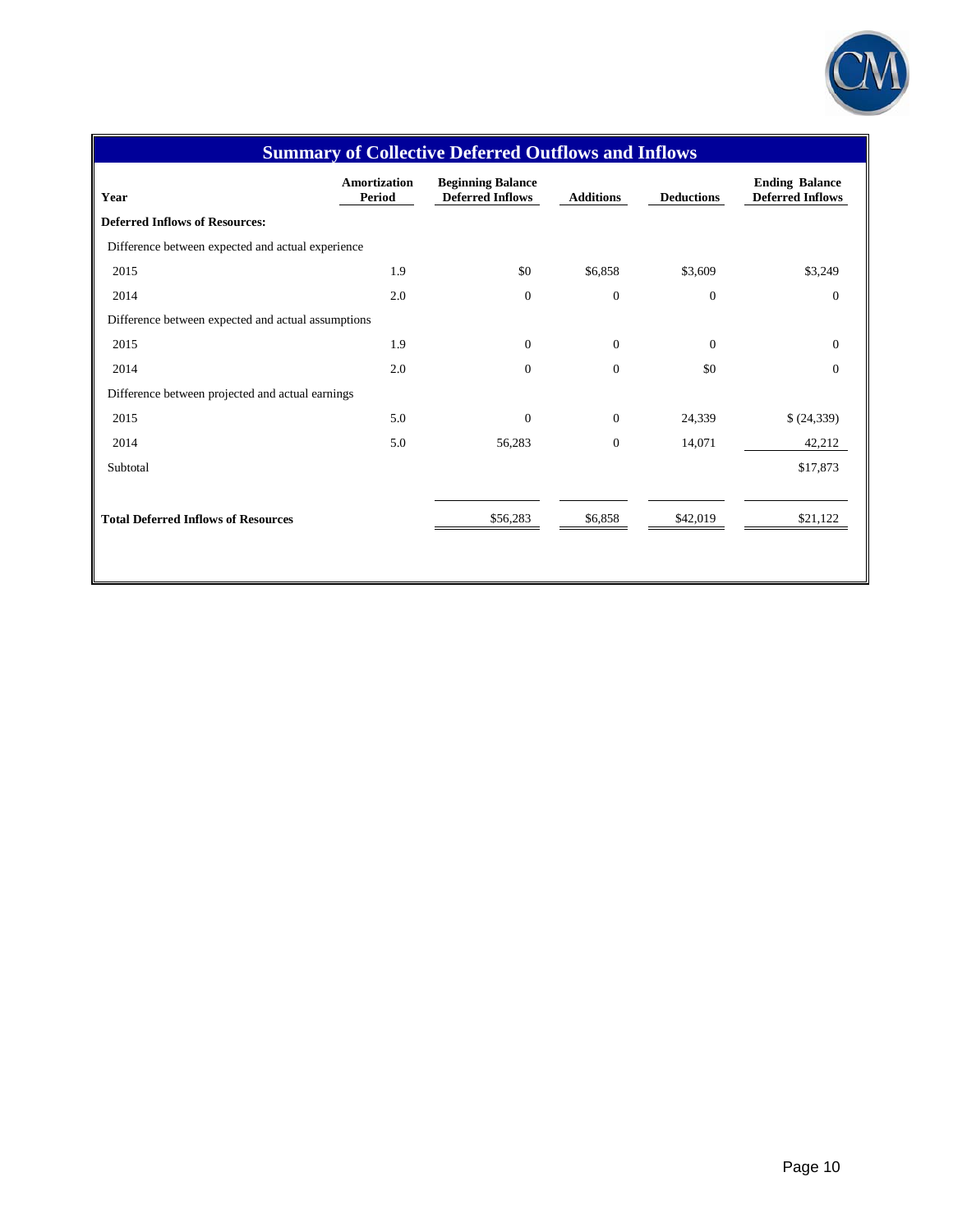

| <b>Summary of Collective Deferred Outflows and Inflows</b> |                                      |                                                     |                  |                   |                                                  |  |  |
|------------------------------------------------------------|--------------------------------------|-----------------------------------------------------|------------------|-------------------|--------------------------------------------------|--|--|
| Year                                                       | <b>Amortization</b><br><b>Period</b> | <b>Beginning Balance</b><br><b>Deferred Inflows</b> | <b>Additions</b> | <b>Deductions</b> | <b>Ending Balance</b><br><b>Deferred Inflows</b> |  |  |
| <b>Deferred Inflows of Resources:</b>                      |                                      |                                                     |                  |                   |                                                  |  |  |
| Difference between expected and actual experience          |                                      |                                                     |                  |                   |                                                  |  |  |
| 2015                                                       | 1.9                                  | \$0                                                 | \$6,858          | \$3,609           | \$3,249                                          |  |  |
| 2014                                                       | 2.0                                  | $\boldsymbol{0}$                                    | $\mathbf{0}$     | $\boldsymbol{0}$  | $\boldsymbol{0}$                                 |  |  |
| Difference between expected and actual assumptions         |                                      |                                                     |                  |                   |                                                  |  |  |
| 2015                                                       | 1.9                                  | $\boldsymbol{0}$                                    | $\overline{0}$   | $\boldsymbol{0}$  | $\mathbf{0}$                                     |  |  |
| 2014                                                       | 2.0                                  | $\boldsymbol{0}$                                    | $\overline{0}$   | \$0               | $\mathbf{0}$                                     |  |  |
| Difference between projected and actual earnings           |                                      |                                                     |                  |                   |                                                  |  |  |
| 2015                                                       | 5.0                                  | $\mathbf{0}$                                        | $\mathbf{0}$     | 24,339            | (24, 339)                                        |  |  |
| 2014                                                       | 5.0                                  | 56,283                                              | $\mathbf{0}$     | 14,071            | 42,212                                           |  |  |
| Subtotal                                                   |                                      |                                                     |                  |                   | \$17,873                                         |  |  |
|                                                            |                                      |                                                     |                  |                   |                                                  |  |  |
| <b>Total Deferred Inflows of Resources</b>                 |                                      | \$56,283                                            | \$6,858          | \$42,019          | \$21,122                                         |  |  |
|                                                            |                                      |                                                     |                  |                   |                                                  |  |  |
|                                                            |                                      |                                                     |                  |                   |                                                  |  |  |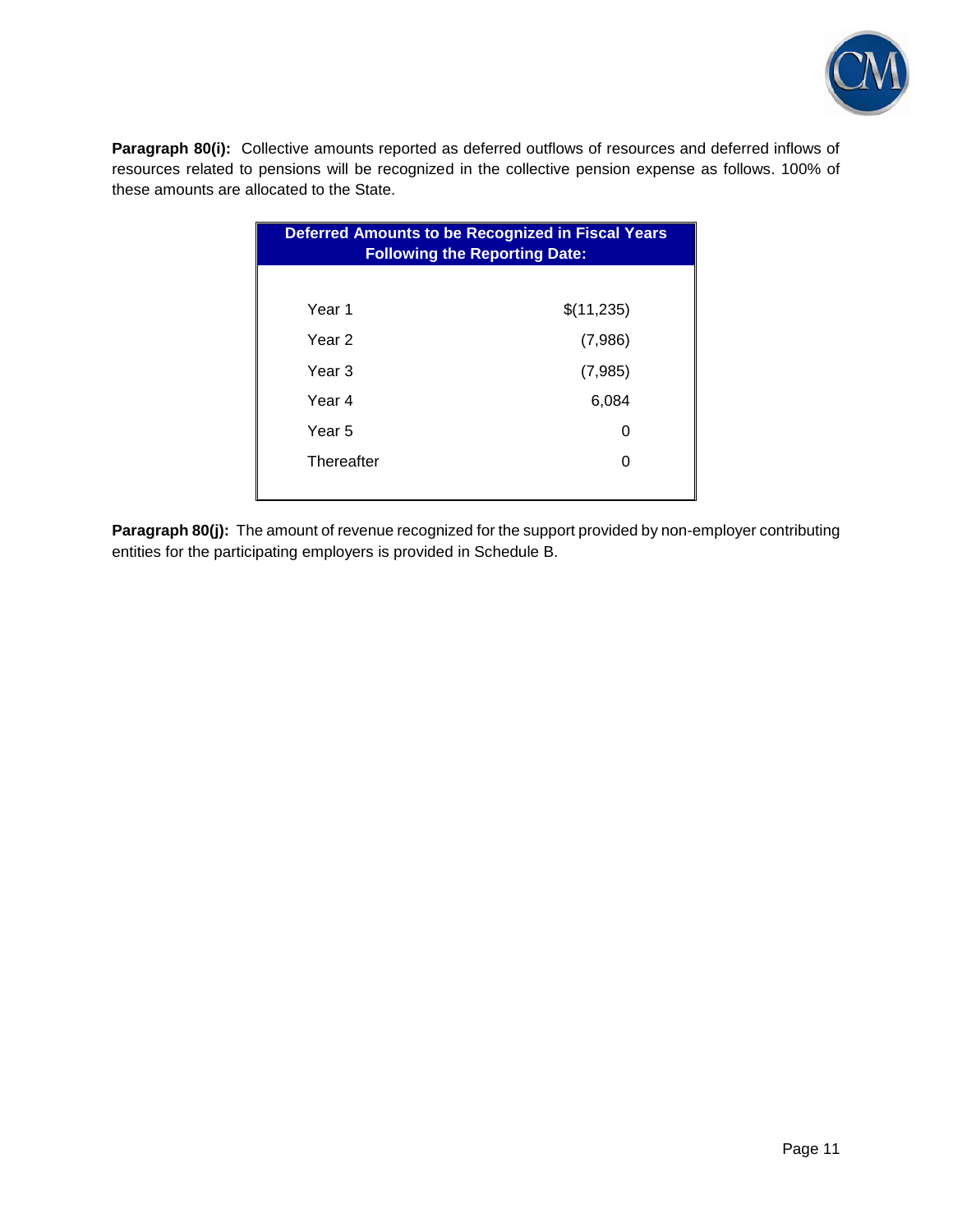

Paragraph 80(i): Collective amounts reported as deferred outflows of resources and deferred inflows of resources related to pensions will be recognized in the collective pension expense as follows. 100% of these amounts are allocated to the State.

| <b>Deferred Amounts to be Recognized in Fiscal Years</b><br><b>Following the Reporting Date:</b> |            |  |  |  |
|--------------------------------------------------------------------------------------------------|------------|--|--|--|
|                                                                                                  |            |  |  |  |
| Year 1                                                                                           | \$(11,235) |  |  |  |
| Year 2                                                                                           | (7,986)    |  |  |  |
| Year 3                                                                                           | (7,985)    |  |  |  |
| Year 4                                                                                           | 6,084      |  |  |  |
| Year 5                                                                                           | 0          |  |  |  |
| Thereafter                                                                                       | 0          |  |  |  |
|                                                                                                  |            |  |  |  |

**Paragraph 80(j):** The amount of revenue recognized for the support provided by non-employer contributing entities for the participating employers is provided in Schedule B.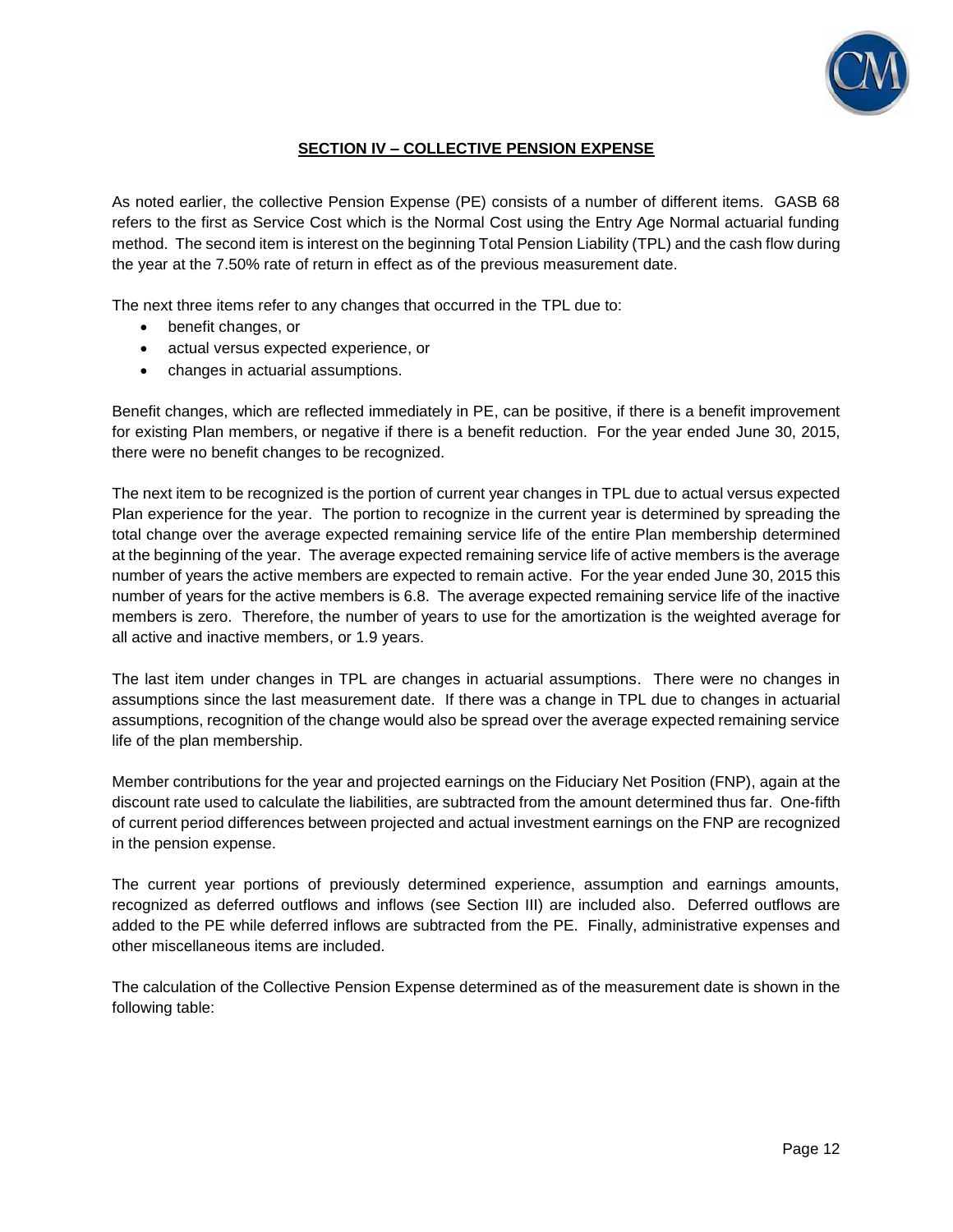

## **SECTION IV – COLLECTIVE PENSION EXPENSE**

As noted earlier, the collective Pension Expense (PE) consists of a number of different items. GASB 68 refers to the first as Service Cost which is the Normal Cost using the Entry Age Normal actuarial funding method. The second item is interest on the beginning Total Pension Liability (TPL) and the cash flow during the year at the 7.50% rate of return in effect as of the previous measurement date.

The next three items refer to any changes that occurred in the TPL due to:

- benefit changes, or
- actual versus expected experience, or
- changes in actuarial assumptions.

Benefit changes, which are reflected immediately in PE, can be positive, if there is a benefit improvement for existing Plan members, or negative if there is a benefit reduction. For the year ended June 30, 2015, there were no benefit changes to be recognized.

The next item to be recognized is the portion of current year changes in TPL due to actual versus expected Plan experience for the year. The portion to recognize in the current year is determined by spreading the total change over the average expected remaining service life of the entire Plan membership determined at the beginning of the year. The average expected remaining service life of active members is the average number of years the active members are expected to remain active. For the year ended June 30, 2015 this number of years for the active members is 6.8. The average expected remaining service life of the inactive members is zero. Therefore, the number of years to use for the amortization is the weighted average for all active and inactive members, or 1.9 years.

The last item under changes in TPL are changes in actuarial assumptions. There were no changes in assumptions since the last measurement date. If there was a change in TPL due to changes in actuarial assumptions, recognition of the change would also be spread over the average expected remaining service life of the plan membership.

Member contributions for the year and projected earnings on the Fiduciary Net Position (FNP), again at the discount rate used to calculate the liabilities, are subtracted from the amount determined thus far. One-fifth of current period differences between projected and actual investment earnings on the FNP are recognized in the pension expense.

The current year portions of previously determined experience, assumption and earnings amounts, recognized as deferred outflows and inflows (see Section III) are included also. Deferred outflows are added to the PE while deferred inflows are subtracted from the PE. Finally, administrative expenses and other miscellaneous items are included.

The calculation of the Collective Pension Expense determined as of the measurement date is shown in the following table: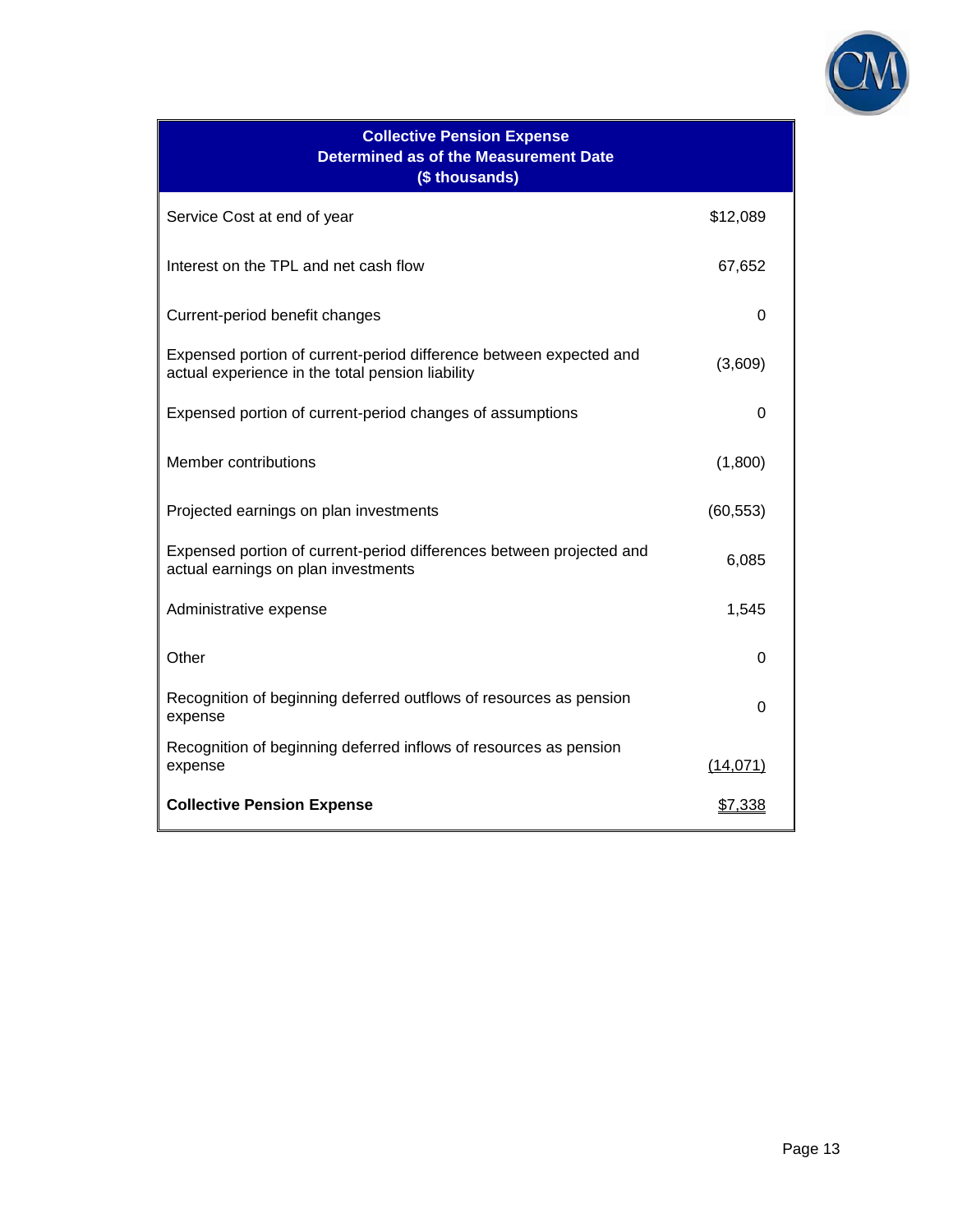

| <b>Collective Pension Expense</b><br><b>Determined as of the Measurement Date</b><br>(\$ thousands)                    |                |
|------------------------------------------------------------------------------------------------------------------------|----------------|
| Service Cost at end of year                                                                                            | \$12,089       |
| Interest on the TPL and net cash flow                                                                                  | 67,652         |
| Current-period benefit changes                                                                                         | 0              |
| Expensed portion of current-period difference between expected and<br>actual experience in the total pension liability | (3,609)        |
| Expensed portion of current-period changes of assumptions                                                              | 0              |
| Member contributions                                                                                                   | (1,800)        |
| Projected earnings on plan investments                                                                                 | (60, 553)      |
| Expensed portion of current-period differences between projected and<br>actual earnings on plan investments            | 6,085          |
| Administrative expense                                                                                                 | 1,545          |
| Other                                                                                                                  | 0              |
| Recognition of beginning deferred outflows of resources as pension<br>expense                                          | 0              |
| Recognition of beginning deferred inflows of resources as pension<br>expense                                           | (14, 071)      |
| <b>Collective Pension Expense</b>                                                                                      | <u>\$7,338</u> |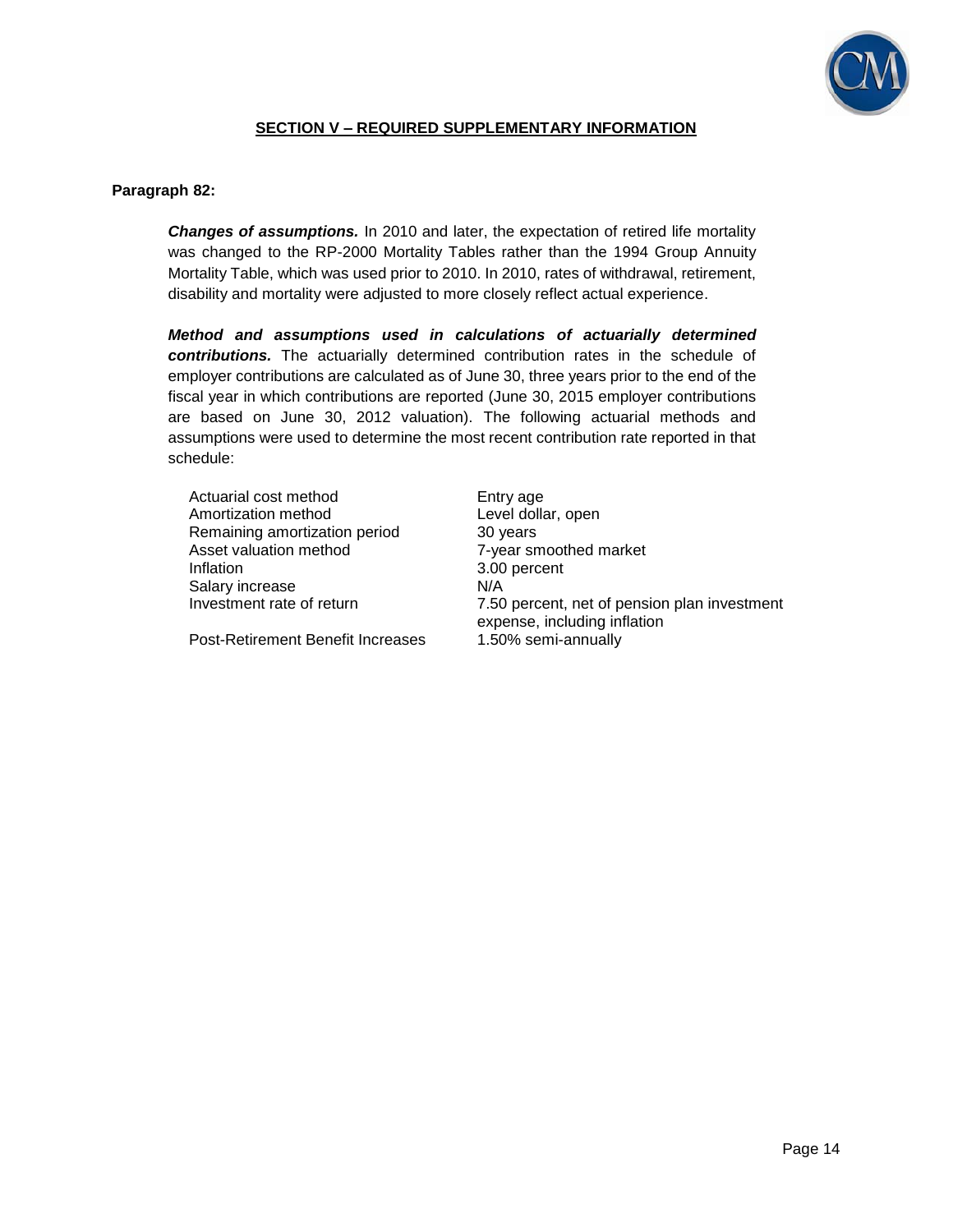

## **SECTION V – REQUIRED SUPPLEMENTARY INFORMATION**

### **Paragraph 82:**

*Changes of assumptions.* In 2010 and later, the expectation of retired life mortality was changed to the RP-2000 Mortality Tables rather than the 1994 Group Annuity Mortality Table, which was used prior to 2010. In 2010, rates of withdrawal, retirement, disability and mortality were adjusted to more closely reflect actual experience.

*Method and assumptions used in calculations of actuarially determined contributions.* The actuarially determined contribution rates in the schedule of employer contributions are calculated as of June 30, three years prior to the end of the fiscal year in which contributions are reported (June 30, 2015 employer contributions are based on June 30, 2012 valuation). The following actuarial methods and assumptions were used to determine the most recent contribution rate reported in that schedule:

| Actuarial cost method         | Enti            |
|-------------------------------|-----------------|
| Amortization method           | Lev             |
| Remaining amortization period | 30 <sub>1</sub> |
| Asset valuation method        | $7-y6$          |
| Inflation                     | 3.00            |
| Salary increase               | N/A             |
| Investment rate of return     | 7.50            |
|                               |                 |

Post-Retirement Benefit Increases 1.50% semi-annually

Entry age Amortization Level dollar, open<br>Amortization method is a series of the series of the series of the series of the series of the series of the s<br>Amortization method is a series of the series of the series of the series of th 30 years 7-year smoothed market 3.00 percent 7.50 percent, net of pension plan investment expense, including inflation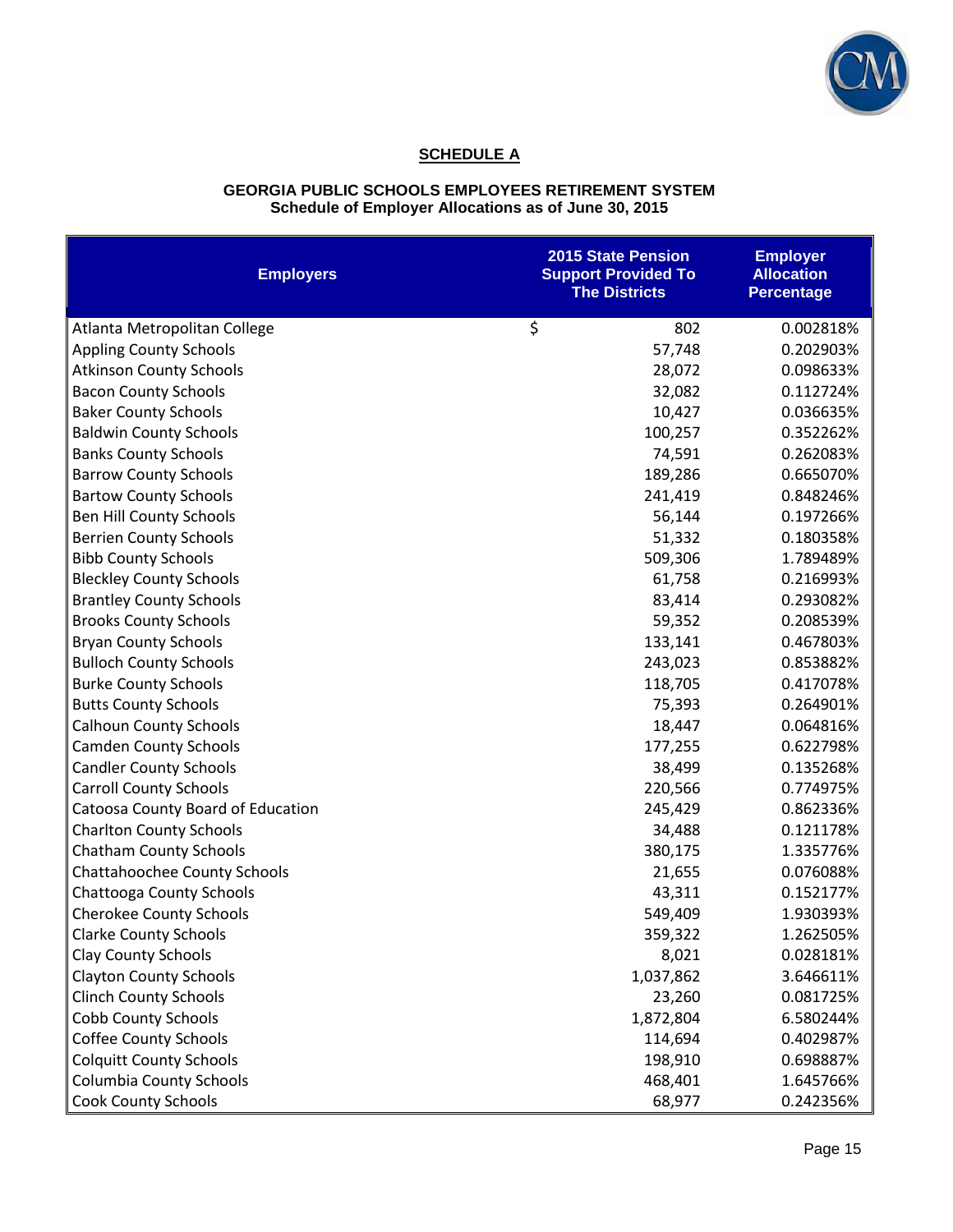

# **SCHEDULE A**

#### **GEORGIA PUBLIC SCHOOLS EMPLOYEES RETIREMENT SYSTEM Schedule of Employer Allocations as of June 30, 2015**

| <b>Employers</b>                  | <b>2015 State Pension</b><br><b>Support Provided To</b><br><b>The Districts</b> | <b>Employer</b><br><b>Allocation</b><br><b>Percentage</b> |
|-----------------------------------|---------------------------------------------------------------------------------|-----------------------------------------------------------|
| Atlanta Metropolitan College      | \$<br>802                                                                       | 0.002818%                                                 |
| <b>Appling County Schools</b>     | 57,748                                                                          | 0.202903%                                                 |
| <b>Atkinson County Schools</b>    | 28,072                                                                          | 0.098633%                                                 |
| <b>Bacon County Schools</b>       | 32,082                                                                          | 0.112724%                                                 |
| <b>Baker County Schools</b>       | 10,427                                                                          | 0.036635%                                                 |
| <b>Baldwin County Schools</b>     | 100,257                                                                         | 0.352262%                                                 |
| <b>Banks County Schools</b>       | 74,591                                                                          | 0.262083%                                                 |
| <b>Barrow County Schools</b>      | 189,286                                                                         | 0.665070%                                                 |
| <b>Bartow County Schools</b>      | 241,419                                                                         | 0.848246%                                                 |
| Ben Hill County Schools           | 56,144                                                                          | 0.197266%                                                 |
| <b>Berrien County Schools</b>     | 51,332                                                                          | 0.180358%                                                 |
| <b>Bibb County Schools</b>        | 509,306                                                                         | 1.789489%                                                 |
| <b>Bleckley County Schools</b>    | 61,758                                                                          | 0.216993%                                                 |
| <b>Brantley County Schools</b>    | 83,414                                                                          | 0.293082%                                                 |
| <b>Brooks County Schools</b>      | 59,352                                                                          | 0.208539%                                                 |
| <b>Bryan County Schools</b>       | 133,141                                                                         | 0.467803%                                                 |
| <b>Bulloch County Schools</b>     | 243,023                                                                         | 0.853882%                                                 |
| <b>Burke County Schools</b>       | 118,705                                                                         | 0.417078%                                                 |
| <b>Butts County Schools</b>       | 75,393                                                                          | 0.264901%                                                 |
| <b>Calhoun County Schools</b>     | 18,447                                                                          | 0.064816%                                                 |
| <b>Camden County Schools</b>      | 177,255                                                                         | 0.622798%                                                 |
| <b>Candler County Schools</b>     | 38,499                                                                          | 0.135268%                                                 |
| <b>Carroll County Schools</b>     | 220,566                                                                         | 0.774975%                                                 |
| Catoosa County Board of Education | 245,429                                                                         | 0.862336%                                                 |
| <b>Charlton County Schools</b>    | 34,488                                                                          | 0.121178%                                                 |
| <b>Chatham County Schools</b>     | 380,175                                                                         | 1.335776%                                                 |
| Chattahoochee County Schools      | 21,655                                                                          | 0.076088%                                                 |
| Chattooga County Schools          | 43,311                                                                          | 0.152177%                                                 |
| <b>Cherokee County Schools</b>    | 549,409                                                                         | 1.930393%                                                 |
| <b>Clarke County Schools</b>      | 359,322                                                                         | 1.262505%                                                 |
| <b>Clay County Schools</b>        | 8,021                                                                           | 0.028181%                                                 |
| <b>Clayton County Schools</b>     | 1,037,862                                                                       | 3.646611%                                                 |
| <b>Clinch County Schools</b>      | 23,260                                                                          | 0.081725%                                                 |
| <b>Cobb County Schools</b>        | 1,872,804                                                                       | 6.580244%                                                 |
| <b>Coffee County Schools</b>      | 114,694                                                                         | 0.402987%                                                 |
| <b>Colquitt County Schools</b>    | 198,910                                                                         | 0.698887%                                                 |
| <b>Columbia County Schools</b>    | 468,401                                                                         | 1.645766%                                                 |
| <b>Cook County Schools</b>        | 68,977                                                                          | 0.242356%                                                 |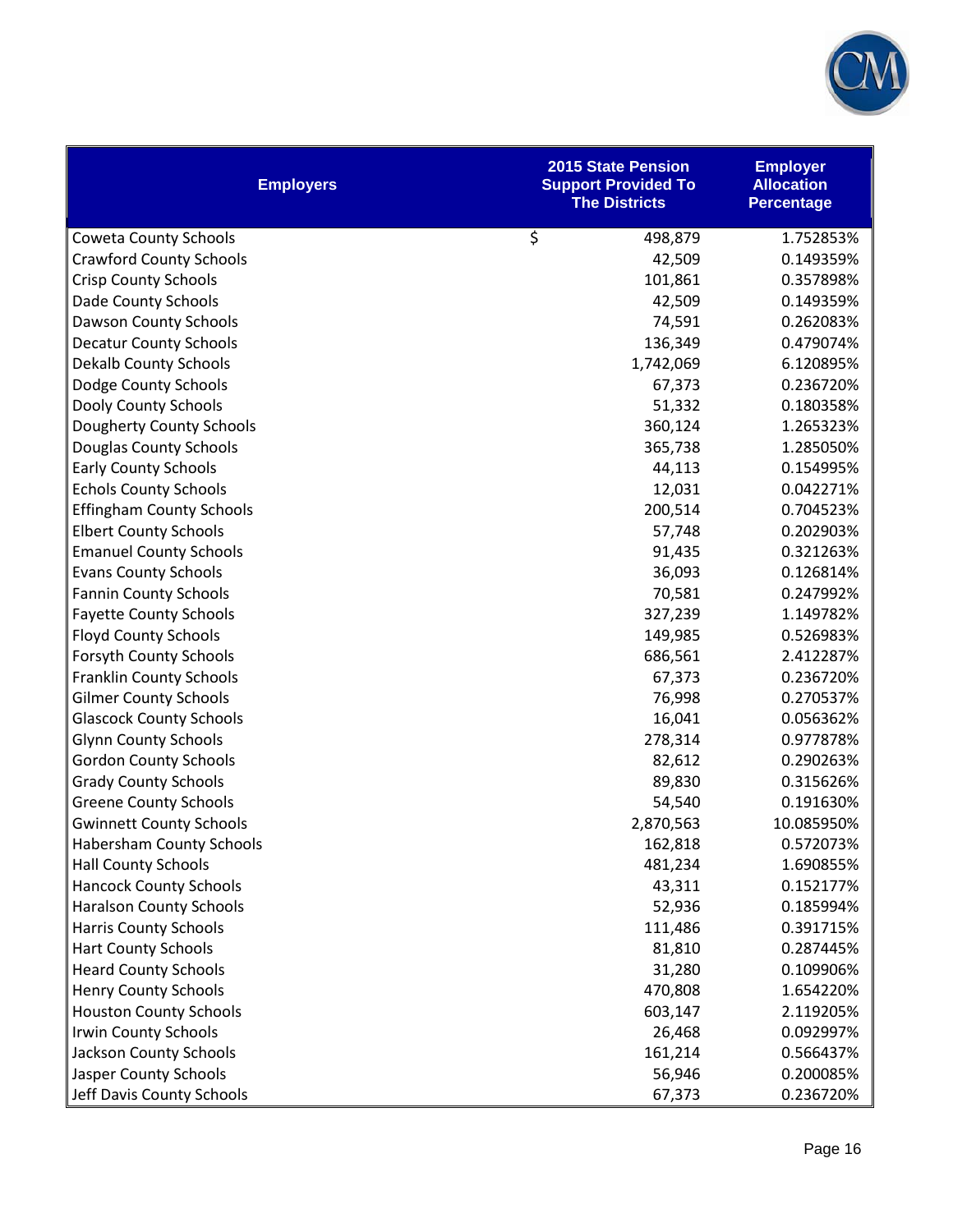

| <b>Employers</b>                | <b>2015 State Pension</b><br><b>Support Provided To</b><br><b>The Districts</b> | <b>Employer</b><br><b>Allocation</b><br><b>Percentage</b> |
|---------------------------------|---------------------------------------------------------------------------------|-----------------------------------------------------------|
| <b>Coweta County Schools</b>    | \$<br>498,879                                                                   | 1.752853%                                                 |
| <b>Crawford County Schools</b>  | 42,509                                                                          | 0.149359%                                                 |
| <b>Crisp County Schools</b>     | 101,861                                                                         | 0.357898%                                                 |
| Dade County Schools             | 42,509                                                                          | 0.149359%                                                 |
| Dawson County Schools           | 74,591                                                                          | 0.262083%                                                 |
| <b>Decatur County Schools</b>   | 136,349                                                                         | 0.479074%                                                 |
| <b>Dekalb County Schools</b>    | 1,742,069                                                                       | 6.120895%                                                 |
| Dodge County Schools            | 67,373                                                                          | 0.236720%                                                 |
| Dooly County Schools            | 51,332                                                                          | 0.180358%                                                 |
| Dougherty County Schools        | 360,124                                                                         | 1.265323%                                                 |
| Douglas County Schools          | 365,738                                                                         | 1.285050%                                                 |
| <b>Early County Schools</b>     | 44,113                                                                          | 0.154995%                                                 |
| <b>Echols County Schools</b>    | 12,031                                                                          | 0.042271%                                                 |
| <b>Effingham County Schools</b> | 200,514                                                                         | 0.704523%                                                 |
| <b>Elbert County Schools</b>    | 57,748                                                                          | 0.202903%                                                 |
| <b>Emanuel County Schools</b>   | 91,435                                                                          | 0.321263%                                                 |
| <b>Evans County Schools</b>     | 36,093                                                                          | 0.126814%                                                 |
| <b>Fannin County Schools</b>    | 70,581                                                                          | 0.247992%                                                 |
| <b>Fayette County Schools</b>   | 327,239                                                                         | 1.149782%                                                 |
| <b>Floyd County Schools</b>     | 149,985                                                                         | 0.526983%                                                 |
| Forsyth County Schools          | 686,561                                                                         | 2.412287%                                                 |
| <b>Franklin County Schools</b>  | 67,373                                                                          | 0.236720%                                                 |
| <b>Gilmer County Schools</b>    | 76,998                                                                          | 0.270537%                                                 |
| <b>Glascock County Schools</b>  | 16,041                                                                          | 0.056362%                                                 |
| <b>Glynn County Schools</b>     | 278,314                                                                         | 0.977878%                                                 |
| <b>Gordon County Schools</b>    | 82,612                                                                          | 0.290263%                                                 |
| <b>Grady County Schools</b>     | 89,830                                                                          | 0.315626%                                                 |
| <b>Greene County Schools</b>    | 54,540                                                                          | 0.191630%                                                 |
| <b>Gwinnett County Schools</b>  | 2,870,563                                                                       | 10.085950%                                                |
| Habersham County Schools        | 162,818                                                                         | 0.572073%                                                 |
| <b>Hall County Schools</b>      | 481,234                                                                         | 1.690855%                                                 |
| <b>Hancock County Schools</b>   | 43,311                                                                          | 0.152177%                                                 |
| <b>Haralson County Schools</b>  | 52,936                                                                          | 0.185994%                                                 |
| <b>Harris County Schools</b>    | 111,486                                                                         | 0.391715%                                                 |
| <b>Hart County Schools</b>      | 81,810                                                                          | 0.287445%                                                 |
| <b>Heard County Schools</b>     | 31,280                                                                          | 0.109906%                                                 |
| <b>Henry County Schools</b>     | 470,808                                                                         | 1.654220%                                                 |
| <b>Houston County Schools</b>   | 603,147                                                                         | 2.119205%                                                 |
| <b>Irwin County Schools</b>     | 26,468                                                                          | 0.092997%                                                 |
| Jackson County Schools          | 161,214                                                                         | 0.566437%                                                 |
| Jasper County Schools           | 56,946                                                                          | 0.200085%                                                 |
| Jeff Davis County Schools       | 67,373                                                                          | 0.236720%                                                 |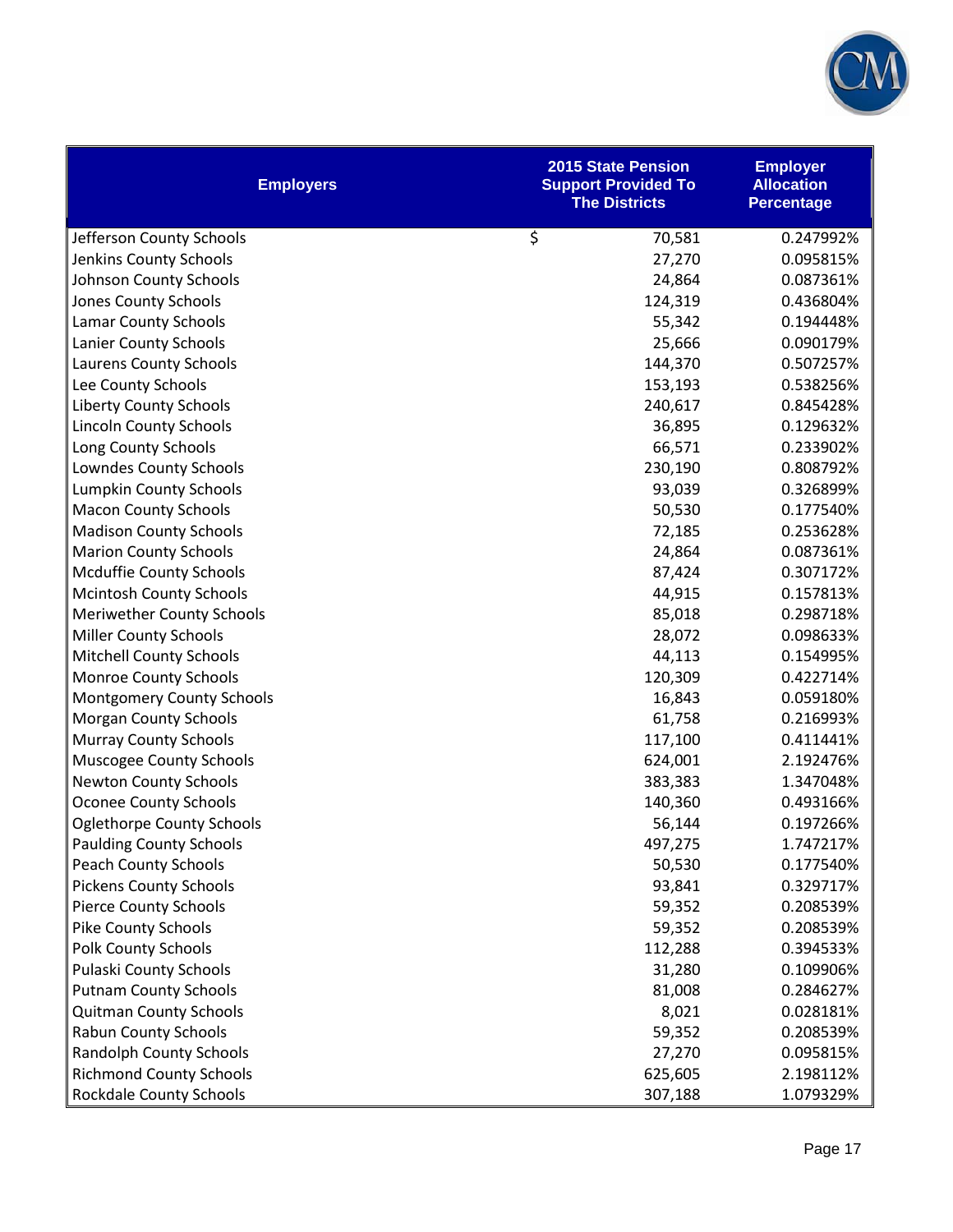

| <b>Employers</b>                 | <b>2015 State Pension</b><br><b>Support Provided To</b><br><b>The Districts</b> | <b>Employer</b><br><b>Allocation</b><br><b>Percentage</b> |
|----------------------------------|---------------------------------------------------------------------------------|-----------------------------------------------------------|
| Jefferson County Schools         | \$<br>70,581                                                                    | 0.247992%                                                 |
| Jenkins County Schools           | 27,270                                                                          | 0.095815%                                                 |
| Johnson County Schools           | 24,864                                                                          | 0.087361%                                                 |
| Jones County Schools             | 124,319                                                                         | 0.436804%                                                 |
| <b>Lamar County Schools</b>      | 55,342                                                                          | 0.194448%                                                 |
| Lanier County Schools            | 25,666                                                                          | 0.090179%                                                 |
| Laurens County Schools           | 144,370                                                                         | 0.507257%                                                 |
| Lee County Schools               | 153,193                                                                         | 0.538256%                                                 |
| <b>Liberty County Schools</b>    | 240,617                                                                         | 0.845428%                                                 |
| <b>Lincoln County Schools</b>    | 36,895                                                                          | 0.129632%                                                 |
| Long County Schools              | 66,571                                                                          | 0.233902%                                                 |
| Lowndes County Schools           | 230,190                                                                         | 0.808792%                                                 |
| <b>Lumpkin County Schools</b>    | 93,039                                                                          | 0.326899%                                                 |
| <b>Macon County Schools</b>      | 50,530                                                                          | 0.177540%                                                 |
| <b>Madison County Schools</b>    | 72,185                                                                          | 0.253628%                                                 |
| <b>Marion County Schools</b>     | 24,864                                                                          | 0.087361%                                                 |
| <b>Mcduffie County Schools</b>   | 87,424                                                                          | 0.307172%                                                 |
| <b>Mcintosh County Schools</b>   | 44,915                                                                          | 0.157813%                                                 |
| <b>Meriwether County Schools</b> | 85,018                                                                          | 0.298718%                                                 |
| <b>Miller County Schools</b>     | 28,072                                                                          | 0.098633%                                                 |
| <b>Mitchell County Schools</b>   | 44,113                                                                          | 0.154995%                                                 |
| Monroe County Schools            | 120,309                                                                         | 0.422714%                                                 |
| <b>Montgomery County Schools</b> | 16,843                                                                          | 0.059180%                                                 |
| <b>Morgan County Schools</b>     | 61,758                                                                          | 0.216993%                                                 |
| <b>Murray County Schools</b>     | 117,100                                                                         | 0.411441%                                                 |
| Muscogee County Schools          | 624,001                                                                         | 2.192476%                                                 |
| <b>Newton County Schools</b>     | 383,383                                                                         | 1.347048%                                                 |
| <b>Oconee County Schools</b>     | 140,360                                                                         | 0.493166%                                                 |
| <b>Oglethorpe County Schools</b> | 56,144                                                                          | 0.197266%                                                 |
| <b>Paulding County Schools</b>   | 497,275                                                                         | 1.747217%                                                 |
| <b>Peach County Schools</b>      | 50,530                                                                          | 0.177540%                                                 |
| <b>Pickens County Schools</b>    | 93,841                                                                          | 0.329717%                                                 |
| <b>Pierce County Schools</b>     | 59,352                                                                          | 0.208539%                                                 |
| <b>Pike County Schools</b>       | 59,352                                                                          | 0.208539%                                                 |
| <b>Polk County Schools</b>       | 112,288                                                                         | 0.394533%                                                 |
| <b>Pulaski County Schools</b>    | 31,280                                                                          | 0.109906%                                                 |
| <b>Putnam County Schools</b>     | 81,008                                                                          | 0.284627%                                                 |
| <b>Quitman County Schools</b>    | 8,021                                                                           | 0.028181%                                                 |
| <b>Rabun County Schools</b>      | 59,352                                                                          | 0.208539%                                                 |
| <b>Randolph County Schools</b>   | 27,270                                                                          | 0.095815%                                                 |
| <b>Richmond County Schools</b>   | 625,605                                                                         | 2.198112%                                                 |
| <b>Rockdale County Schools</b>   | 307,188                                                                         | 1.079329%                                                 |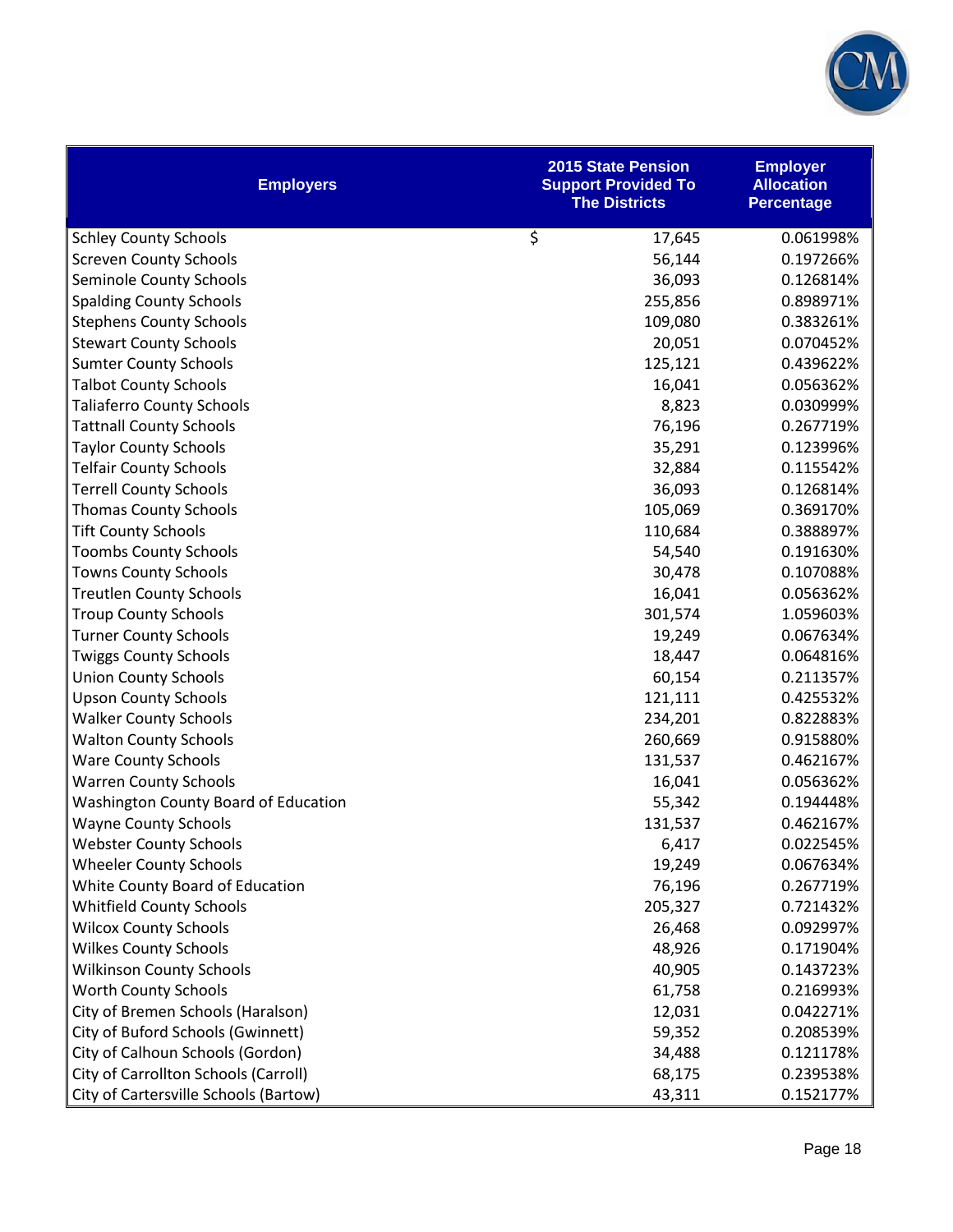

| <b>Employers</b>                      | <b>2015 State Pension</b><br><b>Support Provided To</b><br><b>The Districts</b> | <b>Employer</b><br><b>Allocation</b><br><b>Percentage</b> |
|---------------------------------------|---------------------------------------------------------------------------------|-----------------------------------------------------------|
| <b>Schley County Schools</b>          | \$<br>17,645                                                                    | 0.061998%                                                 |
| <b>Screven County Schools</b>         | 56,144                                                                          | 0.197266%                                                 |
| Seminole County Schools               | 36,093                                                                          | 0.126814%                                                 |
| <b>Spalding County Schools</b>        | 255,856                                                                         | 0.898971%                                                 |
| <b>Stephens County Schools</b>        | 109,080                                                                         | 0.383261%                                                 |
| <b>Stewart County Schools</b>         | 20,051                                                                          | 0.070452%                                                 |
| <b>Sumter County Schools</b>          | 125,121                                                                         | 0.439622%                                                 |
| <b>Talbot County Schools</b>          | 16,041                                                                          | 0.056362%                                                 |
| <b>Taliaferro County Schools</b>      | 8,823                                                                           | 0.030999%                                                 |
| <b>Tattnall County Schools</b>        | 76,196                                                                          | 0.267719%                                                 |
| <b>Taylor County Schools</b>          | 35,291                                                                          | 0.123996%                                                 |
| <b>Telfair County Schools</b>         | 32,884                                                                          | 0.115542%                                                 |
| <b>Terrell County Schools</b>         | 36,093                                                                          | 0.126814%                                                 |
| <b>Thomas County Schools</b>          | 105,069                                                                         | 0.369170%                                                 |
| <b>Tift County Schools</b>            | 110,684                                                                         | 0.388897%                                                 |
| <b>Toombs County Schools</b>          | 54,540                                                                          | 0.191630%                                                 |
| <b>Towns County Schools</b>           | 30,478                                                                          | 0.107088%                                                 |
| <b>Treutlen County Schools</b>        | 16,041                                                                          | 0.056362%                                                 |
| <b>Troup County Schools</b>           | 301,574                                                                         | 1.059603%                                                 |
| <b>Turner County Schools</b>          | 19,249                                                                          | 0.067634%                                                 |
| <b>Twiggs County Schools</b>          | 18,447                                                                          | 0.064816%                                                 |
| <b>Union County Schools</b>           | 60,154                                                                          | 0.211357%                                                 |
| <b>Upson County Schools</b>           | 121,111                                                                         | 0.425532%                                                 |
| <b>Walker County Schools</b>          | 234,201                                                                         | 0.822883%                                                 |
| <b>Walton County Schools</b>          | 260,669                                                                         | 0.915880%                                                 |
| <b>Ware County Schools</b>            | 131,537                                                                         | 0.462167%                                                 |
| <b>Warren County Schools</b>          | 16,041                                                                          | 0.056362%                                                 |
| Washington County Board of Education  | 55,342                                                                          | 0.194448%                                                 |
| <b>Wayne County Schools</b>           | 131,537                                                                         | 0.462167%                                                 |
| <b>Webster County Schools</b>         | 6,417                                                                           | 0.022545%                                                 |
| <b>Wheeler County Schools</b>         | 19,249                                                                          | 0.067634%                                                 |
| White County Board of Education       | 76,196                                                                          | 0.267719%                                                 |
| <b>Whitfield County Schools</b>       | 205,327                                                                         | 0.721432%                                                 |
| <b>Wilcox County Schools</b>          | 26,468                                                                          | 0.092997%                                                 |
| <b>Wilkes County Schools</b>          | 48,926                                                                          | 0.171904%                                                 |
| <b>Wilkinson County Schools</b>       | 40,905                                                                          | 0.143723%                                                 |
| <b>Worth County Schools</b>           | 61,758                                                                          | 0.216993%                                                 |
| City of Bremen Schools (Haralson)     | 12,031                                                                          | 0.042271%                                                 |
| City of Buford Schools (Gwinnett)     | 59,352                                                                          | 0.208539%                                                 |
| City of Calhoun Schools (Gordon)      | 34,488                                                                          | 0.121178%                                                 |
| City of Carrollton Schools (Carroll)  | 68,175                                                                          | 0.239538%                                                 |
| City of Cartersville Schools (Bartow) | 43,311                                                                          | 0.152177%                                                 |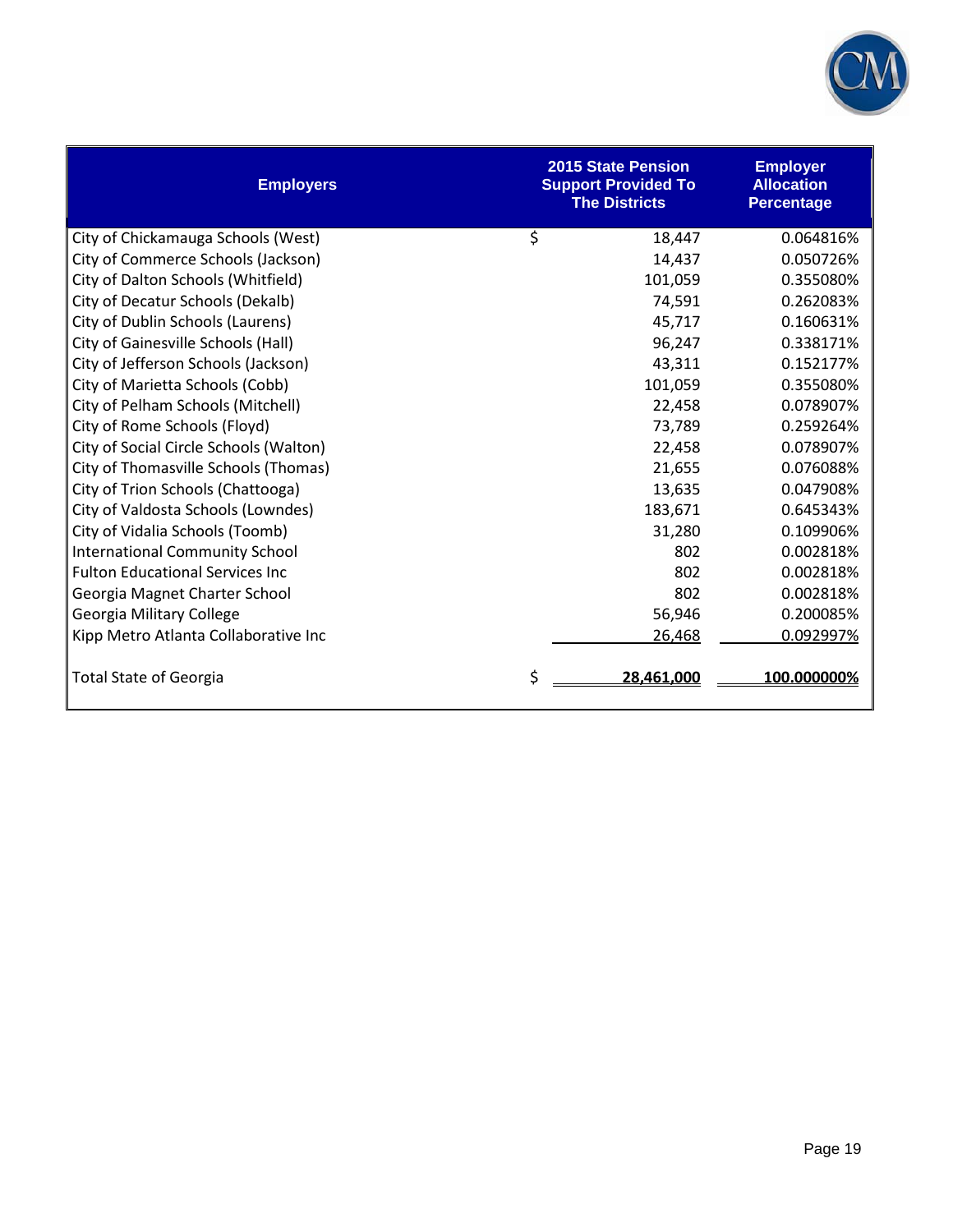

| <b>Employers</b>                       | <b>2015 State Pension</b><br><b>Support Provided To</b><br><b>The Districts</b> | <b>Employer</b><br><b>Allocation</b><br><b>Percentage</b> |
|----------------------------------------|---------------------------------------------------------------------------------|-----------------------------------------------------------|
| City of Chickamauga Schools (West)     | \$<br>18,447                                                                    | 0.064816%                                                 |
| City of Commerce Schools (Jackson)     | 14,437                                                                          | 0.050726%                                                 |
| City of Dalton Schools (Whitfield)     | 101,059                                                                         | 0.355080%                                                 |
| City of Decatur Schools (Dekalb)       | 74,591                                                                          | 0.262083%                                                 |
| City of Dublin Schools (Laurens)       | 45,717                                                                          | 0.160631%                                                 |
| City of Gainesville Schools (Hall)     | 96,247                                                                          | 0.338171%                                                 |
| City of Jefferson Schools (Jackson)    | 43,311                                                                          | 0.152177%                                                 |
| City of Marietta Schools (Cobb)        | 101,059                                                                         | 0.355080%                                                 |
| City of Pelham Schools (Mitchell)      | 22,458                                                                          | 0.078907%                                                 |
| City of Rome Schools (Floyd)           | 73,789                                                                          | 0.259264%                                                 |
| City of Social Circle Schools (Walton) | 22,458                                                                          | 0.078907%                                                 |
| City of Thomasville Schools (Thomas)   | 21,655                                                                          | 0.076088%                                                 |
| City of Trion Schools (Chattooga)      | 13,635                                                                          | 0.047908%                                                 |
| City of Valdosta Schools (Lowndes)     | 183,671                                                                         | 0.645343%                                                 |
| City of Vidalia Schools (Toomb)        | 31,280                                                                          | 0.109906%                                                 |
| <b>International Community School</b>  | 802                                                                             | 0.002818%                                                 |
| <b>Fulton Educational Services Inc</b> | 802                                                                             | 0.002818%                                                 |
| Georgia Magnet Charter School          | 802                                                                             | 0.002818%                                                 |
| Georgia Military College               | 56,946                                                                          | 0.200085%                                                 |
| Kipp Metro Atlanta Collaborative Inc   | 26,468                                                                          | 0.092997%                                                 |
| <b>Total State of Georgia</b>          | \$<br>28,461,000                                                                | 100.000000%                                               |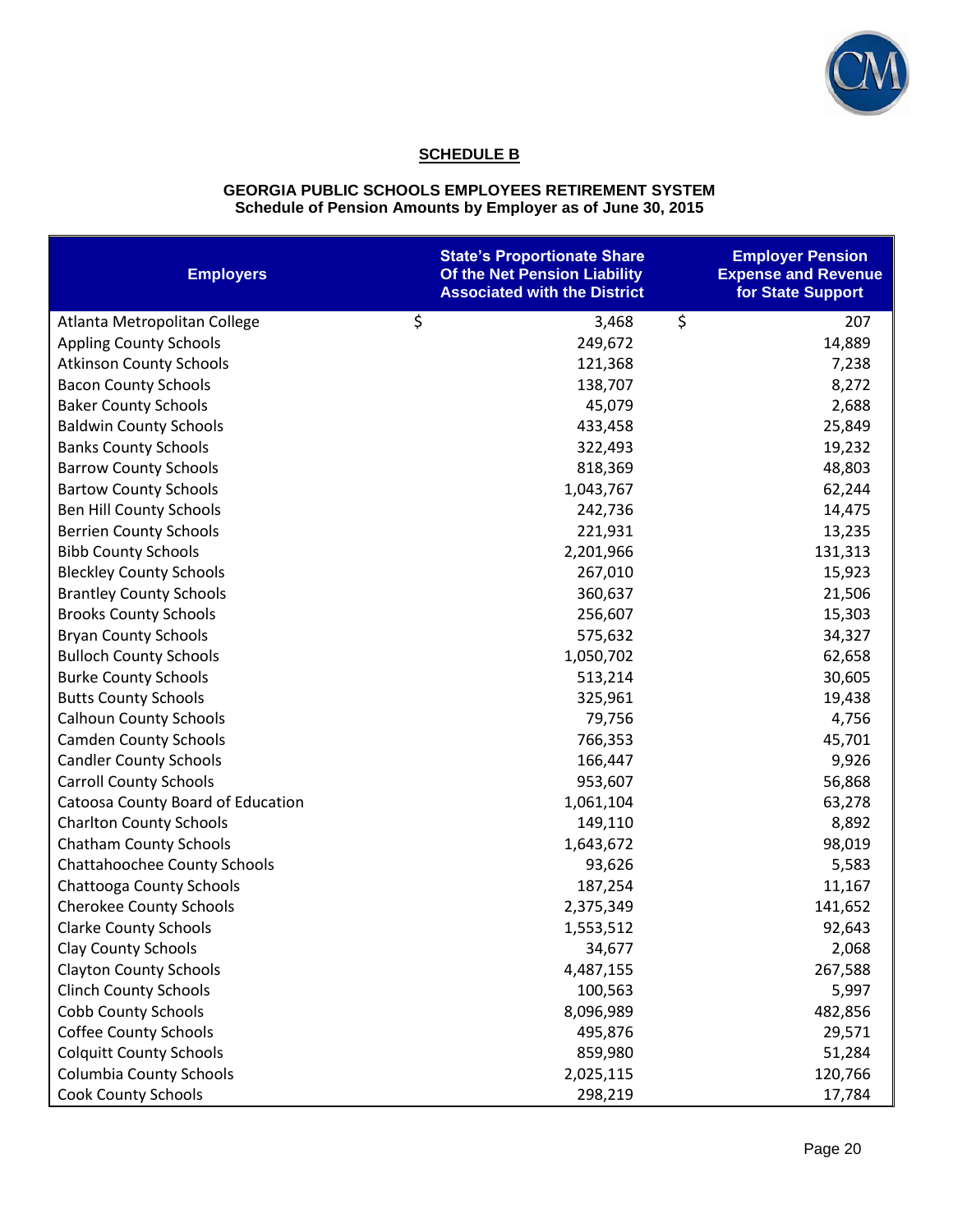

## **SCHEDULE B**

#### **GEORGIA PUBLIC SCHOOLS EMPLOYEES RETIREMENT SYSTEM Schedule of Pension Amounts by Employer as of June 30, 2015**

| <b>Employers</b>                  | <b>State's Proportionate Share</b><br>Of the Net Pension Liability<br><b>Associated with the District</b> | <b>Employer Pension</b><br><b>Expense and Revenue</b><br>for State Support |
|-----------------------------------|-----------------------------------------------------------------------------------------------------------|----------------------------------------------------------------------------|
| Atlanta Metropolitan College      | \$<br>3,468                                                                                               | \$<br>207                                                                  |
| <b>Appling County Schools</b>     | 249,672                                                                                                   | 14,889                                                                     |
| <b>Atkinson County Schools</b>    | 121,368                                                                                                   | 7,238                                                                      |
| <b>Bacon County Schools</b>       | 138,707                                                                                                   | 8,272                                                                      |
| <b>Baker County Schools</b>       | 45,079                                                                                                    | 2,688                                                                      |
| <b>Baldwin County Schools</b>     | 433,458                                                                                                   | 25,849                                                                     |
| <b>Banks County Schools</b>       | 322,493                                                                                                   | 19,232                                                                     |
| <b>Barrow County Schools</b>      | 818,369                                                                                                   | 48,803                                                                     |
| <b>Bartow County Schools</b>      | 1,043,767                                                                                                 | 62,244                                                                     |
| Ben Hill County Schools           | 242,736                                                                                                   | 14,475                                                                     |
| <b>Berrien County Schools</b>     | 221,931                                                                                                   | 13,235                                                                     |
| <b>Bibb County Schools</b>        | 2,201,966                                                                                                 | 131,313                                                                    |
| <b>Bleckley County Schools</b>    | 267,010                                                                                                   | 15,923                                                                     |
| <b>Brantley County Schools</b>    | 360,637                                                                                                   | 21,506                                                                     |
| <b>Brooks County Schools</b>      | 256,607                                                                                                   | 15,303                                                                     |
| <b>Bryan County Schools</b>       | 575,632                                                                                                   | 34,327                                                                     |
| <b>Bulloch County Schools</b>     | 1,050,702                                                                                                 | 62,658                                                                     |
| <b>Burke County Schools</b>       | 513,214                                                                                                   | 30,605                                                                     |
| <b>Butts County Schools</b>       | 325,961                                                                                                   | 19,438                                                                     |
| <b>Calhoun County Schools</b>     | 79,756                                                                                                    | 4,756                                                                      |
| <b>Camden County Schools</b>      | 766,353                                                                                                   | 45,701                                                                     |
| <b>Candler County Schools</b>     | 166,447                                                                                                   | 9,926                                                                      |
| <b>Carroll County Schools</b>     | 953,607                                                                                                   | 56,868                                                                     |
| Catoosa County Board of Education | 1,061,104                                                                                                 | 63,278                                                                     |
| <b>Charlton County Schools</b>    | 149,110                                                                                                   | 8,892                                                                      |
| <b>Chatham County Schools</b>     | 1,643,672                                                                                                 | 98,019                                                                     |
| Chattahoochee County Schools      | 93,626                                                                                                    | 5,583                                                                      |
| Chattooga County Schools          | 187,254                                                                                                   | 11,167                                                                     |
| <b>Cherokee County Schools</b>    | 2,375,349                                                                                                 | 141,652                                                                    |
| <b>Clarke County Schools</b>      | 1,553,512                                                                                                 | 92,643                                                                     |
| <b>Clay County Schools</b>        | 34,677                                                                                                    | 2,068                                                                      |
| <b>Clayton County Schools</b>     | 4,487,155                                                                                                 | 267,588                                                                    |
| <b>Clinch County Schools</b>      | 100,563                                                                                                   | 5,997                                                                      |
| <b>Cobb County Schools</b>        | 8,096,989                                                                                                 | 482,856                                                                    |
| <b>Coffee County Schools</b>      | 495,876                                                                                                   | 29,571                                                                     |
| <b>Colquitt County Schools</b>    | 859,980                                                                                                   | 51,284                                                                     |
| <b>Columbia County Schools</b>    | 2,025,115                                                                                                 | 120,766                                                                    |
| Cook County Schools               | 298,219                                                                                                   | 17,784                                                                     |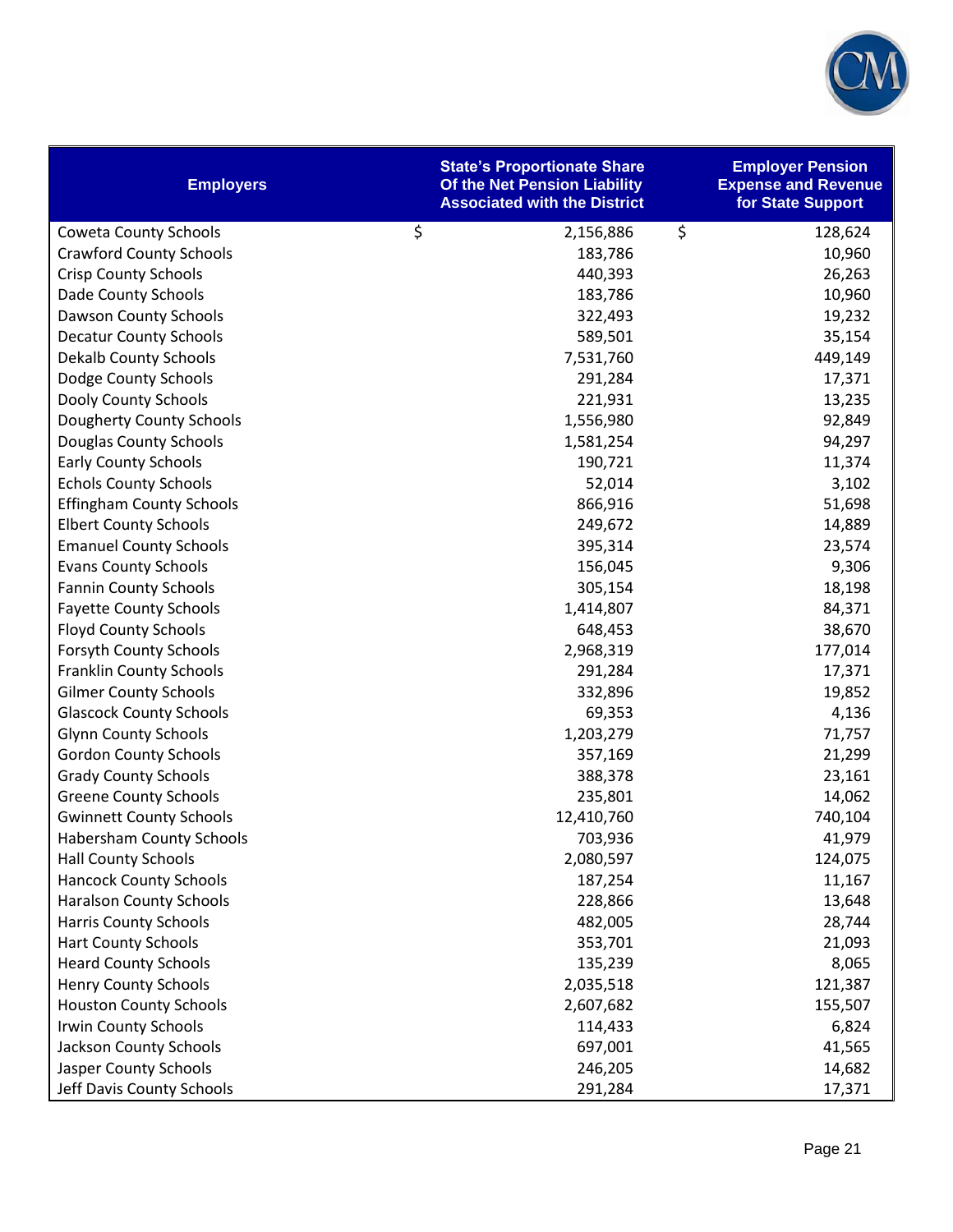

| <b>Employers</b>                | <b>State's Proportionate Share</b><br>Of the Net Pension Liability<br><b>Associated with the District</b> | <b>Employer Pension</b><br><b>Expense and Revenue</b><br>for State Support |
|---------------------------------|-----------------------------------------------------------------------------------------------------------|----------------------------------------------------------------------------|
| <b>Coweta County Schools</b>    | $\zeta$<br>2,156,886                                                                                      | \$<br>128,624                                                              |
| <b>Crawford County Schools</b>  | 183,786                                                                                                   | 10,960                                                                     |
| <b>Crisp County Schools</b>     | 440,393                                                                                                   | 26,263                                                                     |
| Dade County Schools             | 183,786                                                                                                   | 10,960                                                                     |
| Dawson County Schools           | 322,493                                                                                                   | 19,232                                                                     |
| <b>Decatur County Schools</b>   | 589,501                                                                                                   | 35,154                                                                     |
| <b>Dekalb County Schools</b>    | 7,531,760                                                                                                 | 449,149                                                                    |
| Dodge County Schools            | 291,284                                                                                                   | 17,371                                                                     |
| Dooly County Schools            | 221,931                                                                                                   | 13,235                                                                     |
| Dougherty County Schools        | 1,556,980                                                                                                 | 92,849                                                                     |
| Douglas County Schools          | 1,581,254                                                                                                 | 94,297                                                                     |
| <b>Early County Schools</b>     | 190,721                                                                                                   | 11,374                                                                     |
| <b>Echols County Schools</b>    | 52,014                                                                                                    | 3,102                                                                      |
| <b>Effingham County Schools</b> | 866,916                                                                                                   | 51,698                                                                     |
| <b>Elbert County Schools</b>    | 249,672                                                                                                   | 14,889                                                                     |
| <b>Emanuel County Schools</b>   | 395,314                                                                                                   | 23,574                                                                     |
| <b>Evans County Schools</b>     | 156,045                                                                                                   | 9,306                                                                      |
| <b>Fannin County Schools</b>    | 305,154                                                                                                   | 18,198                                                                     |
| <b>Fayette County Schools</b>   | 1,414,807                                                                                                 | 84,371                                                                     |
| <b>Floyd County Schools</b>     | 648,453                                                                                                   | 38,670                                                                     |
| <b>Forsyth County Schools</b>   | 2,968,319                                                                                                 | 177,014                                                                    |
| <b>Franklin County Schools</b>  | 291,284                                                                                                   | 17,371                                                                     |
| <b>Gilmer County Schools</b>    | 332,896                                                                                                   | 19,852                                                                     |
| <b>Glascock County Schools</b>  | 69,353                                                                                                    | 4,136                                                                      |
| <b>Glynn County Schools</b>     | 1,203,279                                                                                                 | 71,757                                                                     |
| <b>Gordon County Schools</b>    | 357,169                                                                                                   | 21,299                                                                     |
| <b>Grady County Schools</b>     | 388,378                                                                                                   | 23,161                                                                     |
| <b>Greene County Schools</b>    | 235,801                                                                                                   | 14,062                                                                     |
| <b>Gwinnett County Schools</b>  | 12,410,760                                                                                                | 740,104                                                                    |
| <b>Habersham County Schools</b> | 703,936                                                                                                   | 41,979                                                                     |
| <b>Hall County Schools</b>      | 2,080,597                                                                                                 | 124,075                                                                    |
| <b>Hancock County Schools</b>   | 187,254                                                                                                   | 11,167                                                                     |
| <b>Haralson County Schools</b>  | 228,866                                                                                                   | 13,648                                                                     |
| <b>Harris County Schools</b>    | 482,005                                                                                                   | 28,744                                                                     |
| <b>Hart County Schools</b>      | 353,701                                                                                                   | 21,093                                                                     |
| <b>Heard County Schools</b>     | 135,239                                                                                                   | 8,065                                                                      |
| <b>Henry County Schools</b>     | 2,035,518                                                                                                 | 121,387                                                                    |
| <b>Houston County Schools</b>   | 2,607,682                                                                                                 | 155,507                                                                    |
| Irwin County Schools            | 114,433                                                                                                   | 6,824                                                                      |
| <b>Jackson County Schools</b>   | 697,001                                                                                                   | 41,565                                                                     |
| Jasper County Schools           | 246,205                                                                                                   | 14,682                                                                     |
| Jeff Davis County Schools       | 291,284                                                                                                   | 17,371                                                                     |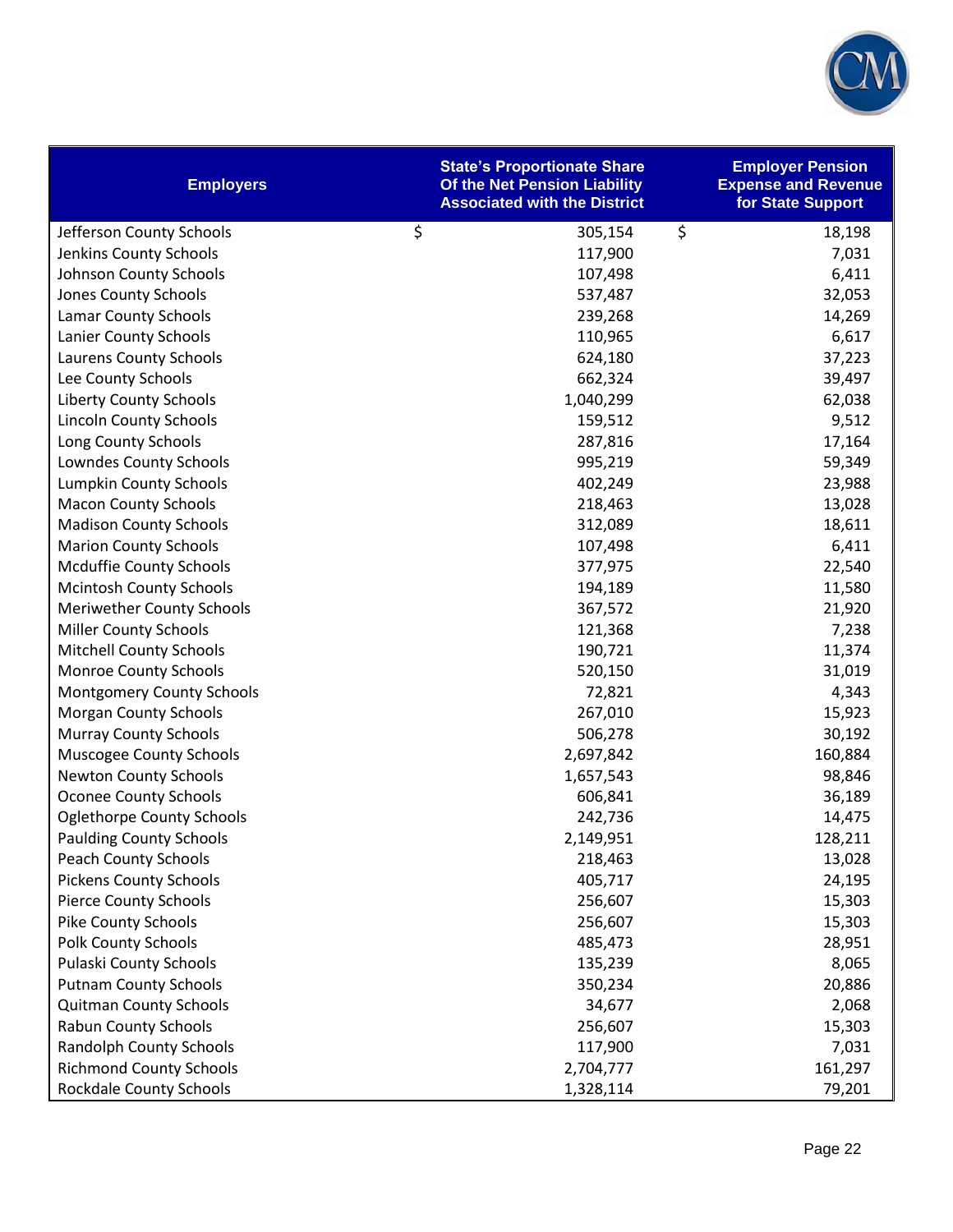

| <b>Employers</b>                 | <b>State's Proportionate Share</b><br>Of the Net Pension Liability<br><b>Associated with the District</b> | <b>Employer Pension</b><br><b>Expense and Revenue</b><br>for State Support |
|----------------------------------|-----------------------------------------------------------------------------------------------------------|----------------------------------------------------------------------------|
| Jefferson County Schools         | $\zeta$<br>305,154                                                                                        | \$<br>18,198                                                               |
| Jenkins County Schools           | 117,900                                                                                                   | 7,031                                                                      |
| Johnson County Schools           | 107,498                                                                                                   | 6,411                                                                      |
| Jones County Schools             | 537,487                                                                                                   | 32,053                                                                     |
| <b>Lamar County Schools</b>      | 239,268                                                                                                   | 14,269                                                                     |
| Lanier County Schools            | 110,965                                                                                                   | 6,617                                                                      |
| Laurens County Schools           | 624,180                                                                                                   | 37,223                                                                     |
| Lee County Schools               | 662,324                                                                                                   | 39,497                                                                     |
| <b>Liberty County Schools</b>    | 1,040,299                                                                                                 | 62,038                                                                     |
| <b>Lincoln County Schools</b>    | 159,512                                                                                                   | 9,512                                                                      |
| Long County Schools              | 287,816                                                                                                   | 17,164                                                                     |
| Lowndes County Schools           | 995,219                                                                                                   | 59,349                                                                     |
| Lumpkin County Schools           | 402,249                                                                                                   | 23,988                                                                     |
| <b>Macon County Schools</b>      | 218,463                                                                                                   | 13,028                                                                     |
| <b>Madison County Schools</b>    | 312,089                                                                                                   | 18,611                                                                     |
| <b>Marion County Schools</b>     | 107,498                                                                                                   | 6,411                                                                      |
| <b>Mcduffie County Schools</b>   | 377,975                                                                                                   | 22,540                                                                     |
| <b>Mcintosh County Schools</b>   | 194,189                                                                                                   | 11,580                                                                     |
| <b>Meriwether County Schools</b> | 367,572                                                                                                   | 21,920                                                                     |
| <b>Miller County Schools</b>     | 121,368                                                                                                   | 7,238                                                                      |
| <b>Mitchell County Schools</b>   | 190,721                                                                                                   | 11,374                                                                     |
| Monroe County Schools            | 520,150                                                                                                   | 31,019                                                                     |
| <b>Montgomery County Schools</b> | 72,821                                                                                                    | 4,343                                                                      |
| <b>Morgan County Schools</b>     | 267,010                                                                                                   | 15,923                                                                     |
| <b>Murray County Schools</b>     | 506,278                                                                                                   | 30,192                                                                     |
| <b>Muscogee County Schools</b>   | 2,697,842                                                                                                 | 160,884                                                                    |
| <b>Newton County Schools</b>     | 1,657,543                                                                                                 | 98,846                                                                     |
| <b>Oconee County Schools</b>     | 606,841                                                                                                   | 36,189                                                                     |
| <b>Oglethorpe County Schools</b> | 242,736                                                                                                   | 14,475                                                                     |
| <b>Paulding County Schools</b>   | 2,149,951                                                                                                 | 128,211                                                                    |
| <b>Peach County Schools</b>      | 218,463                                                                                                   | 13,028                                                                     |
| <b>Pickens County Schools</b>    | 405,717                                                                                                   | 24,195                                                                     |
| <b>Pierce County Schools</b>     | 256,607                                                                                                   | 15,303                                                                     |
| <b>Pike County Schools</b>       | 256,607                                                                                                   | 15,303                                                                     |
| <b>Polk County Schools</b>       | 485,473                                                                                                   | 28,951                                                                     |
| Pulaski County Schools           | 135,239                                                                                                   | 8,065                                                                      |
| <b>Putnam County Schools</b>     | 350,234                                                                                                   | 20,886                                                                     |
| <b>Quitman County Schools</b>    | 34,677                                                                                                    | 2,068                                                                      |
| <b>Rabun County Schools</b>      | 256,607                                                                                                   | 15,303                                                                     |
| <b>Randolph County Schools</b>   | 117,900                                                                                                   | 7,031                                                                      |
| <b>Richmond County Schools</b>   | 2,704,777                                                                                                 | 161,297                                                                    |
| <b>Rockdale County Schools</b>   | 1,328,114                                                                                                 | 79,201                                                                     |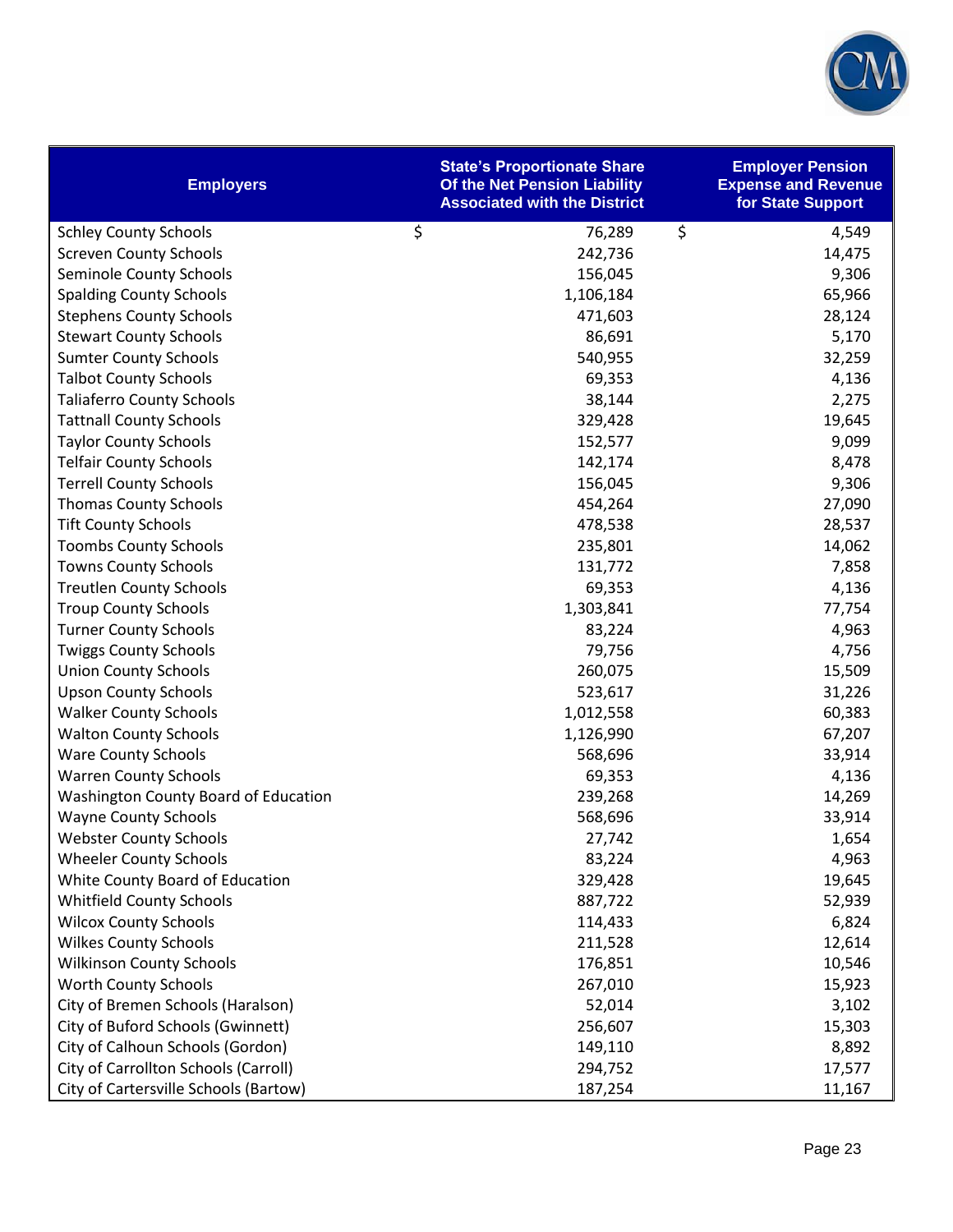

| <b>Employers</b>                      | <b>State's Proportionate Share</b><br>Of the Net Pension Liability<br><b>Associated with the District</b> | <b>Employer Pension</b><br><b>Expense and Revenue</b><br>for State Support |
|---------------------------------------|-----------------------------------------------------------------------------------------------------------|----------------------------------------------------------------------------|
| <b>Schley County Schools</b>          | \$<br>76,289                                                                                              | \$<br>4,549                                                                |
| <b>Screven County Schools</b>         | 242,736                                                                                                   | 14,475                                                                     |
| Seminole County Schools               | 156,045                                                                                                   | 9,306                                                                      |
| <b>Spalding County Schools</b>        | 1,106,184                                                                                                 | 65,966                                                                     |
| <b>Stephens County Schools</b>        | 471,603                                                                                                   | 28,124                                                                     |
| <b>Stewart County Schools</b>         | 86,691                                                                                                    | 5,170                                                                      |
| <b>Sumter County Schools</b>          | 540,955                                                                                                   | 32,259                                                                     |
| <b>Talbot County Schools</b>          | 69,353                                                                                                    | 4,136                                                                      |
| <b>Taliaferro County Schools</b>      | 38,144                                                                                                    | 2,275                                                                      |
| <b>Tattnall County Schools</b>        | 329,428                                                                                                   | 19,645                                                                     |
| <b>Taylor County Schools</b>          | 152,577                                                                                                   | 9,099                                                                      |
| <b>Telfair County Schools</b>         | 142,174                                                                                                   | 8,478                                                                      |
| <b>Terrell County Schools</b>         | 156,045                                                                                                   | 9,306                                                                      |
| <b>Thomas County Schools</b>          | 454,264                                                                                                   | 27,090                                                                     |
| <b>Tift County Schools</b>            | 478,538                                                                                                   | 28,537                                                                     |
| <b>Toombs County Schools</b>          | 235,801                                                                                                   | 14,062                                                                     |
| <b>Towns County Schools</b>           | 131,772                                                                                                   | 7,858                                                                      |
| <b>Treutlen County Schools</b>        | 69,353                                                                                                    | 4,136                                                                      |
| <b>Troup County Schools</b>           | 1,303,841                                                                                                 | 77,754                                                                     |
| <b>Turner County Schools</b>          | 83,224                                                                                                    | 4,963                                                                      |
| <b>Twiggs County Schools</b>          | 79,756                                                                                                    | 4,756                                                                      |
| <b>Union County Schools</b>           | 260,075                                                                                                   | 15,509                                                                     |
| <b>Upson County Schools</b>           | 523,617                                                                                                   | 31,226                                                                     |
| <b>Walker County Schools</b>          | 1,012,558                                                                                                 | 60,383                                                                     |
| <b>Walton County Schools</b>          | 1,126,990                                                                                                 | 67,207                                                                     |
| <b>Ware County Schools</b>            | 568,696                                                                                                   | 33,914                                                                     |
| <b>Warren County Schools</b>          | 69,353                                                                                                    | 4,136                                                                      |
| Washington County Board of Education  | 239,268                                                                                                   | 14,269                                                                     |
| <b>Wayne County Schools</b>           | 568,696                                                                                                   | 33,914                                                                     |
| <b>Webster County Schools</b>         | 27,742                                                                                                    | 1,654                                                                      |
| <b>Wheeler County Schools</b>         | 83,224                                                                                                    | 4,963                                                                      |
| White County Board of Education       | 329,428                                                                                                   | 19,645                                                                     |
| <b>Whitfield County Schools</b>       | 887,722                                                                                                   | 52,939                                                                     |
| <b>Wilcox County Schools</b>          | 114,433                                                                                                   | 6,824                                                                      |
| <b>Wilkes County Schools</b>          | 211,528                                                                                                   | 12,614                                                                     |
| <b>Wilkinson County Schools</b>       | 176,851                                                                                                   | 10,546                                                                     |
| <b>Worth County Schools</b>           | 267,010                                                                                                   | 15,923                                                                     |
| City of Bremen Schools (Haralson)     | 52,014                                                                                                    | 3,102                                                                      |
| City of Buford Schools (Gwinnett)     | 256,607                                                                                                   | 15,303                                                                     |
| City of Calhoun Schools (Gordon)      | 149,110                                                                                                   | 8,892                                                                      |
| City of Carrollton Schools (Carroll)  | 294,752                                                                                                   | 17,577                                                                     |
| City of Cartersville Schools (Bartow) | 187,254                                                                                                   | 11,167                                                                     |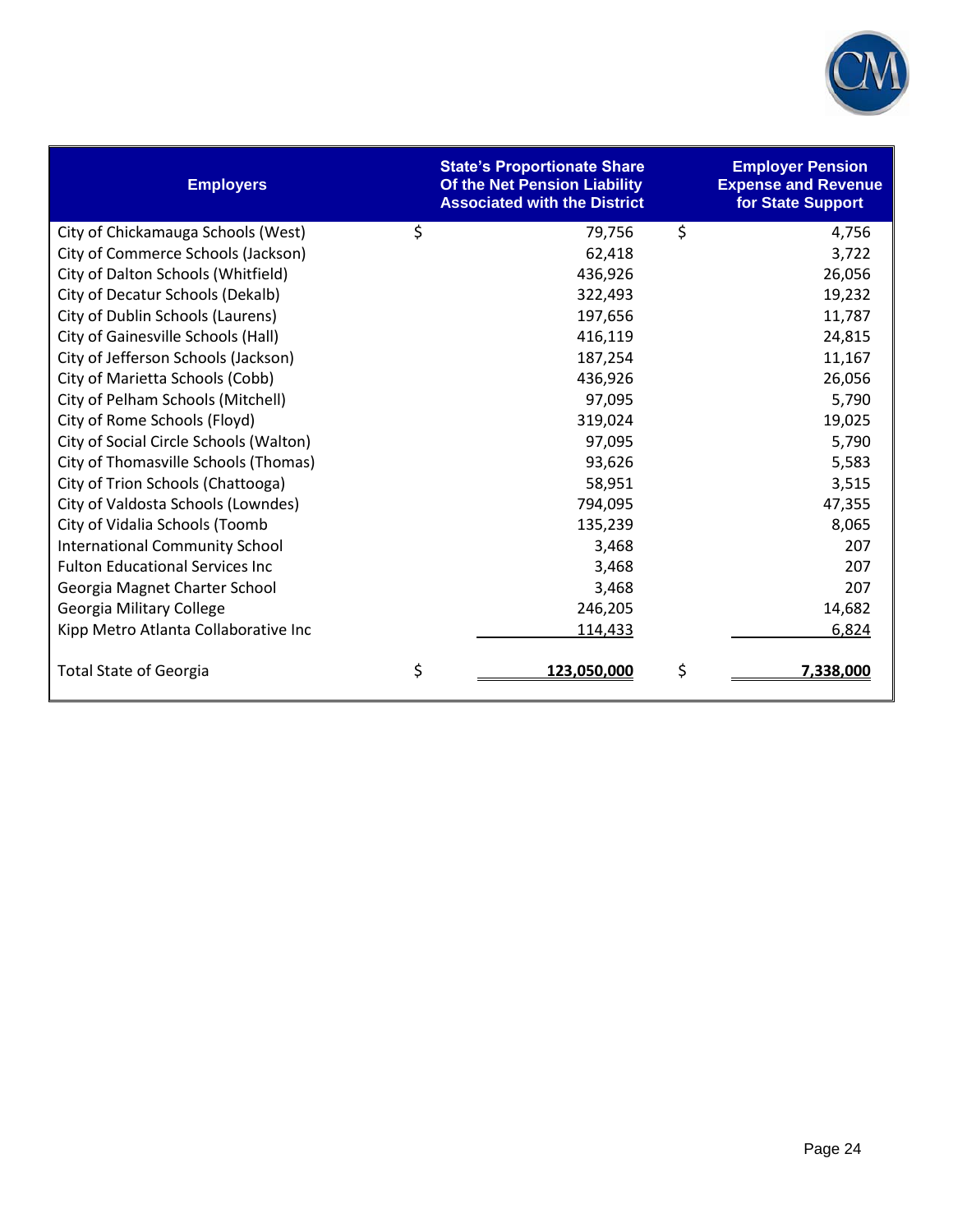

| <b>Employers</b>                       | <b>State's Proportionate Share</b><br>Of the Net Pension Liability<br><b>Associated with the District</b> | <b>Employer Pension</b><br><b>Expense and Revenue</b><br>for State Support |
|----------------------------------------|-----------------------------------------------------------------------------------------------------------|----------------------------------------------------------------------------|
| City of Chickamauga Schools (West)     | \$<br>79,756                                                                                              | \$<br>4,756                                                                |
| City of Commerce Schools (Jackson)     | 62,418                                                                                                    | 3,722                                                                      |
| City of Dalton Schools (Whitfield)     | 436,926                                                                                                   | 26,056                                                                     |
| City of Decatur Schools (Dekalb)       | 322,493                                                                                                   | 19,232                                                                     |
| City of Dublin Schools (Laurens)       | 197,656                                                                                                   | 11,787                                                                     |
| City of Gainesville Schools (Hall)     | 416,119                                                                                                   | 24,815                                                                     |
| City of Jefferson Schools (Jackson)    | 187,254                                                                                                   | 11,167                                                                     |
| City of Marietta Schools (Cobb)        | 436,926                                                                                                   | 26,056                                                                     |
| City of Pelham Schools (Mitchell)      | 97,095                                                                                                    | 5,790                                                                      |
| City of Rome Schools (Floyd)           | 319,024                                                                                                   | 19,025                                                                     |
| City of Social Circle Schools (Walton) | 97,095                                                                                                    | 5,790                                                                      |
| City of Thomasville Schools (Thomas)   | 93,626                                                                                                    | 5,583                                                                      |
| City of Trion Schools (Chattooga)      | 58,951                                                                                                    | 3,515                                                                      |
| City of Valdosta Schools (Lowndes)     | 794,095                                                                                                   | 47,355                                                                     |
| City of Vidalia Schools (Toomb         | 135,239                                                                                                   | 8,065                                                                      |
| <b>International Community School</b>  | 3,468                                                                                                     | 207                                                                        |
| <b>Fulton Educational Services Inc</b> | 3,468                                                                                                     | 207                                                                        |
| Georgia Magnet Charter School          | 3,468                                                                                                     | 207                                                                        |
| Georgia Military College               | 246,205                                                                                                   | 14,682                                                                     |
| Kipp Metro Atlanta Collaborative Inc   | 114,433                                                                                                   | 6,824                                                                      |
| <b>Total State of Georgia</b>          | \$<br>123,050,000                                                                                         | \$<br>7,338,000                                                            |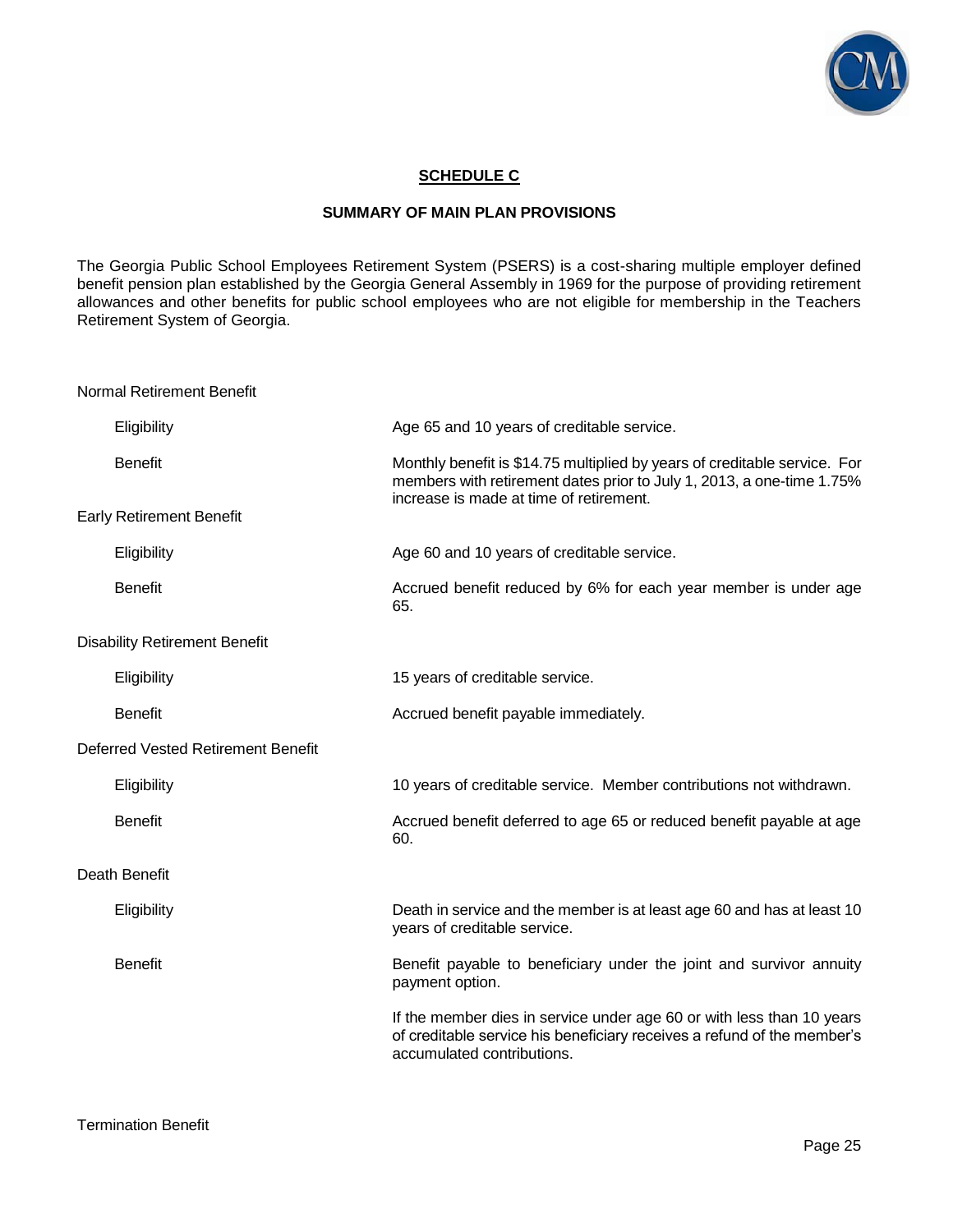

## **SCHEDULE C**

### **SUMMARY OF MAIN PLAN PROVISIONS**

The Georgia Public School Employees Retirement System (PSERS) is a cost-sharing multiple employer defined benefit pension plan established by the Georgia General Assembly in 1969 for the purpose of providing retirement allowances and other benefits for public school employees who are not eligible for membership in the Teachers Retirement System of Georgia.

Normal Retirement Benefit

| Eligibility                          | Age 65 and 10 years of creditable service.                                                                                                                                                    |
|--------------------------------------|-----------------------------------------------------------------------------------------------------------------------------------------------------------------------------------------------|
| <b>Benefit</b>                       | Monthly benefit is \$14.75 multiplied by years of creditable service. For<br>members with retirement dates prior to July 1, 2013, a one-time 1.75%<br>increase is made at time of retirement. |
| <b>Early Retirement Benefit</b>      |                                                                                                                                                                                               |
| Eligibility                          | Age 60 and 10 years of creditable service.                                                                                                                                                    |
| <b>Benefit</b>                       | Accrued benefit reduced by 6% for each year member is under age<br>65.                                                                                                                        |
| <b>Disability Retirement Benefit</b> |                                                                                                                                                                                               |
| Eligibility                          | 15 years of creditable service.                                                                                                                                                               |
| <b>Benefit</b>                       | Accrued benefit payable immediately.                                                                                                                                                          |
| Deferred Vested Retirement Benefit   |                                                                                                                                                                                               |
| Eligibility                          | 10 years of creditable service. Member contributions not withdrawn.                                                                                                                           |
| <b>Benefit</b>                       | Accrued benefit deferred to age 65 or reduced benefit payable at age<br>60.                                                                                                                   |
| Death Benefit                        |                                                                                                                                                                                               |
| Eligibility                          | Death in service and the member is at least age 60 and has at least 10<br>years of creditable service.                                                                                        |
| <b>Benefit</b>                       | Benefit payable to beneficiary under the joint and survivor annuity<br>payment option.                                                                                                        |
|                                      | If the member dies in service under age 60 or with less than 10 years<br>of creditable service his beneficiary receives a refund of the member's<br>accumulated contributions.                |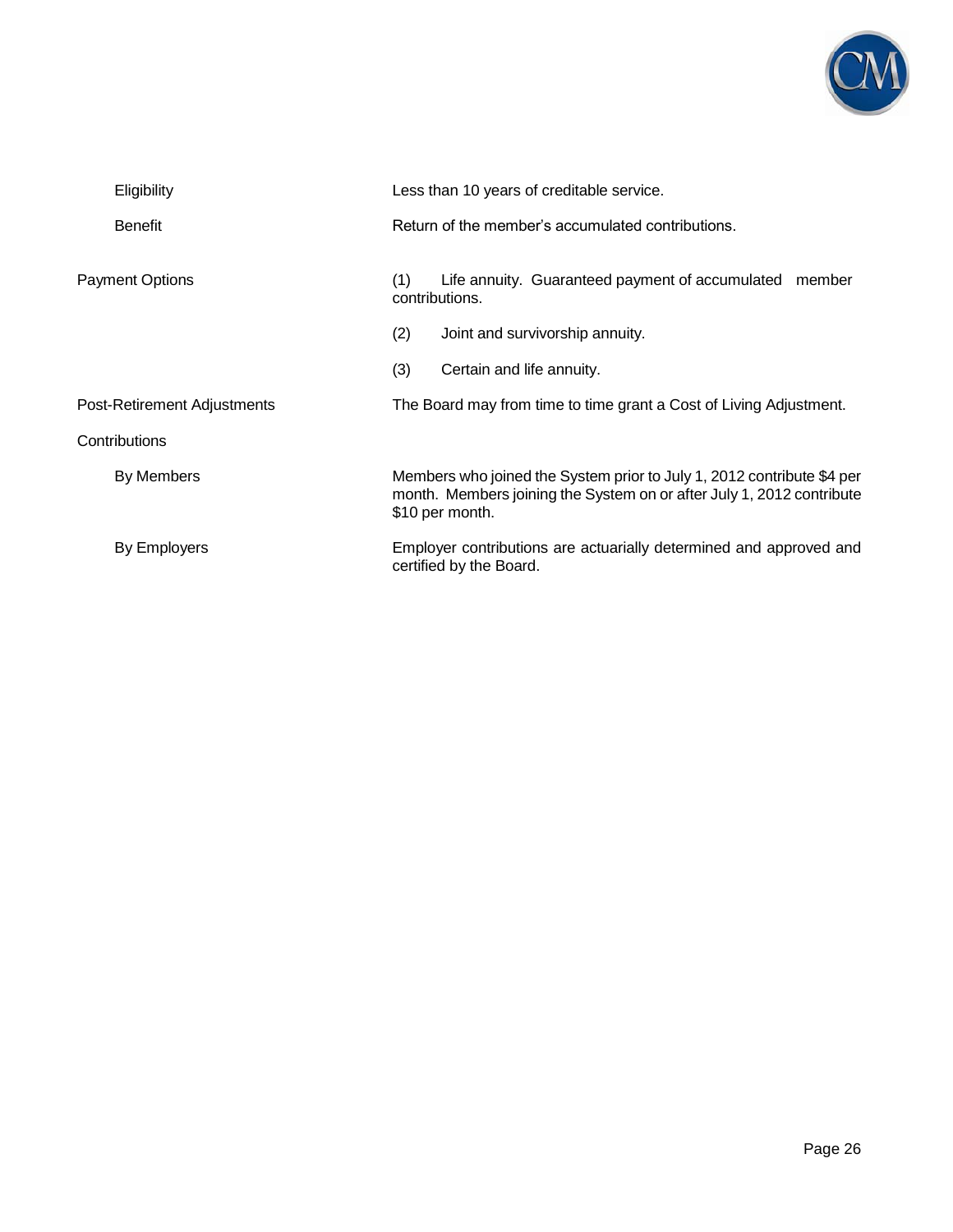

|                             | Eligibility            | Less than 10 years of creditable service.<br>Return of the member's accumulated contributions.                                                                     |                                                                             |  |
|-----------------------------|------------------------|--------------------------------------------------------------------------------------------------------------------------------------------------------------------|-----------------------------------------------------------------------------|--|
|                             | <b>Benefit</b>         |                                                                                                                                                                    |                                                                             |  |
|                             | <b>Payment Options</b> |                                                                                                                                                                    | Life annuity. Guaranteed payment of accumulated<br>member<br>contributions. |  |
|                             |                        | (2)                                                                                                                                                                | Joint and survivorship annuity.                                             |  |
|                             |                        | (3)                                                                                                                                                                | Certain and life annuity.                                                   |  |
| Post-Retirement Adjustments |                        | The Board may from time to time grant a Cost of Living Adjustment.                                                                                                 |                                                                             |  |
|                             | Contributions          |                                                                                                                                                                    |                                                                             |  |
|                             | By Members             | Members who joined the System prior to July 1, 2012 contribute \$4 per<br>month. Members joining the System on or after July 1, 2012 contribute<br>\$10 per month. |                                                                             |  |
|                             | By Employers           | Employer contributions are actuarially determined and approved and<br>certified by the Board.                                                                      |                                                                             |  |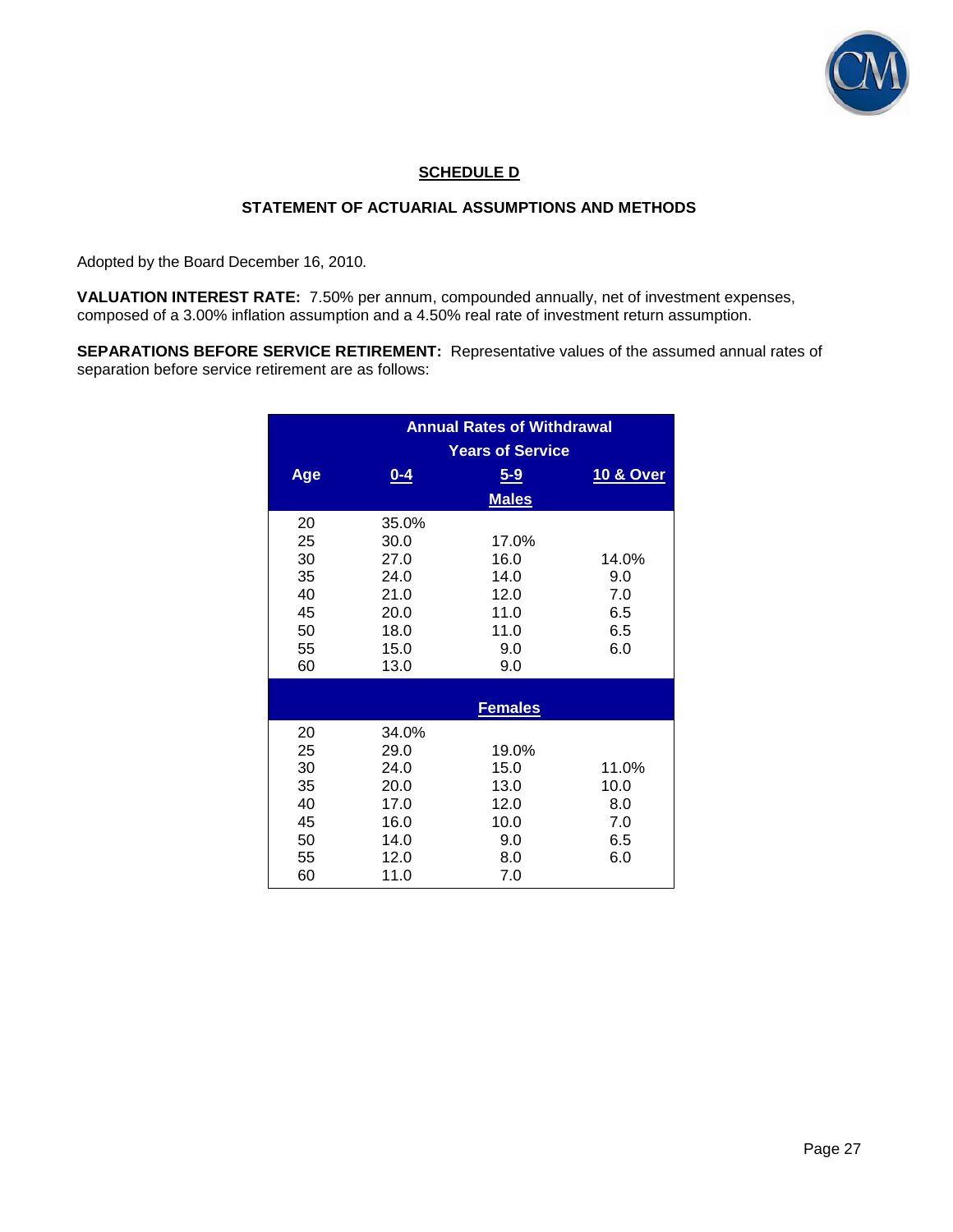

## **SCHEDULE D**

## **STATEMENT OF ACTUARIAL ASSUMPTIONS AND METHODS**

Adopted by the Board December 16, 2010.

**VALUATION INTEREST RATE:** 7.50% per annum, compounded annually, net of investment expenses, composed of a 3.00% inflation assumption and a 4.50% real rate of investment return assumption.

**SEPARATIONS BEFORE SERVICE RETIREMENT:** Representative values of the assumed annual rates of separation before service retirement are as follows:

|                                                    | <b>Annual Rates of Withdrawal</b><br><b>Years of Service</b>          |                                                             |                                           |  |
|----------------------------------------------------|-----------------------------------------------------------------------|-------------------------------------------------------------|-------------------------------------------|--|
| Age                                                | $0 - 4$                                                               | $5 - 9$<br><b>Males</b>                                     | 10 & Over                                 |  |
| 20<br>25<br>30<br>35<br>40<br>45<br>50<br>55<br>60 | 35.0%<br>30.0<br>27.0<br>24.0<br>21.0<br>20.0<br>18.0<br>15.0<br>13.0 | 17.0%<br>16.0<br>14.0<br>12.0<br>11.0<br>11.0<br>9.0<br>9.0 | 14.0%<br>9.0<br>7.0<br>6.5<br>6.5<br>6.0  |  |
|                                                    | <b>Females</b>                                                        |                                                             |                                           |  |
| 20<br>25<br>30<br>35<br>40<br>45<br>50<br>55<br>60 | 34.0%<br>29.0<br>24.0<br>20.0<br>17.0<br>16.0<br>14.0<br>12.0<br>11.0 | 19.0%<br>15.0<br>13.0<br>12.0<br>10.0<br>9.0<br>8.0<br>7.0  | 11.0%<br>10.0<br>8.0<br>7.0<br>6.5<br>6.0 |  |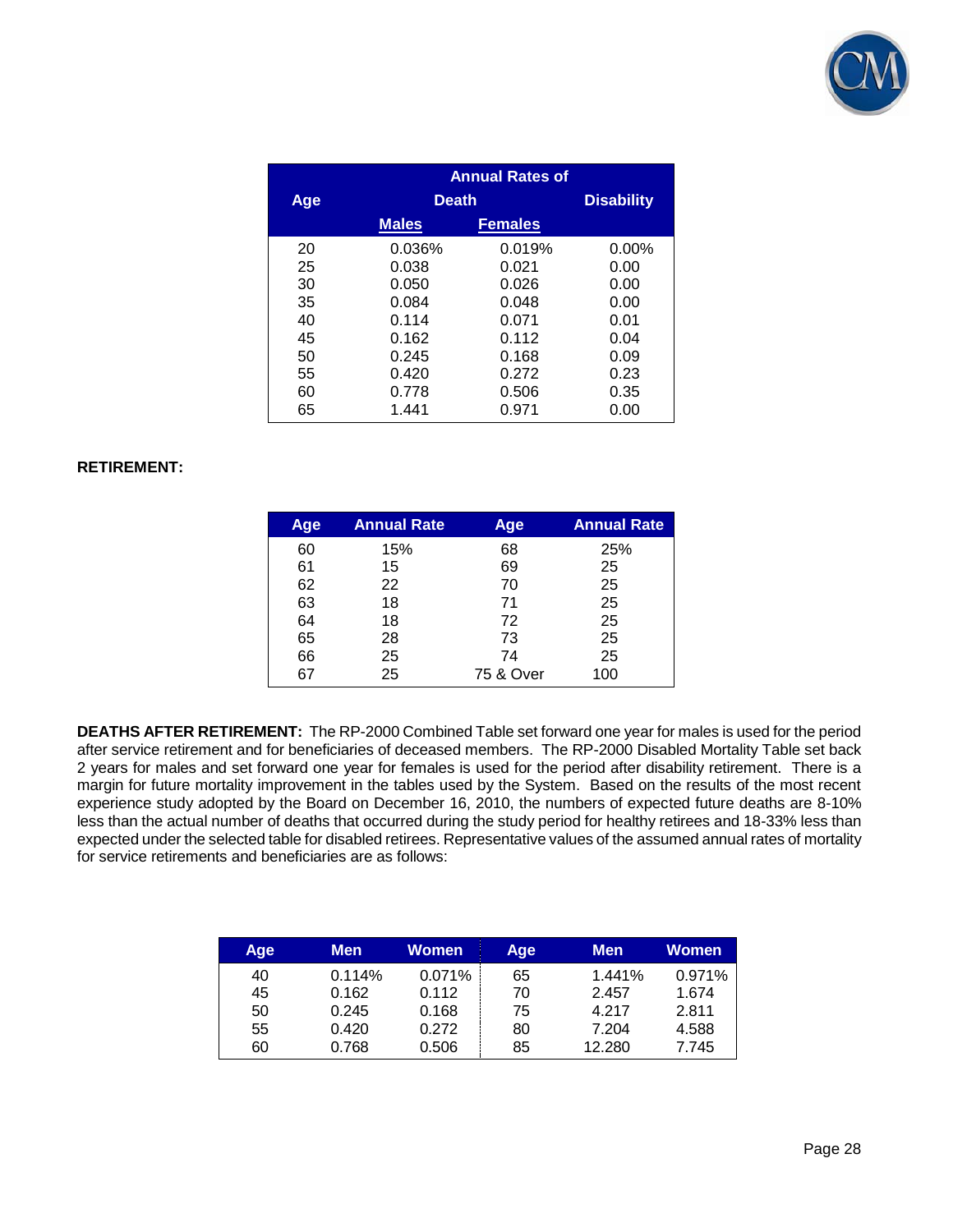

|     | <b>Annual Rates of</b> |                |          |  |  |
|-----|------------------------|----------------|----------|--|--|
| Age |                        | <b>Death</b>   |          |  |  |
|     | <b>Males</b>           | <b>Females</b> |          |  |  |
| 20  | 0.036%                 | 0.019%         | $0.00\%$ |  |  |
| 25  | 0.038                  | 0.021          | 0.00     |  |  |
| 30  | 0.050                  | 0.026          | 0.00     |  |  |
| 35  | 0.084                  | 0.048          | 0.00     |  |  |
| 40  | 0.114                  | 0.071          | 0.01     |  |  |
| 45  | 0.162                  | 0.112          | 0.04     |  |  |
| 50  | 0.245                  | 0.168          | 0.09     |  |  |
| 55  | 0.420                  | 0.272          | 0.23     |  |  |
| 60  | 0.778                  | 0.506          | 0.35     |  |  |
| 65  | 1.441                  | 0.971          | 0.00     |  |  |

## **RETIREMENT:**

| Age | <b>Annual Rate</b> | Age       | <b>Annual Rate</b> |
|-----|--------------------|-----------|--------------------|
| 60  | 15%                | 68        | 25%                |
| 61  | 15                 | 69        | 25                 |
| 62  | 22                 | 70        | 25                 |
| 63  | 18                 | 71        | 25                 |
| 64  | 18                 | 72        | 25                 |
| 65  | 28                 | 73        | 25                 |
| 66  | 25                 | 74        | 25                 |
| 67  | 25                 | 75 & Over | 100                |

**DEATHS AFTER RETIREMENT:** The RP-2000 Combined Table set forward one year for males is used for the period after service retirement and for beneficiaries of deceased members. The RP-2000 Disabled Mortality Table set back 2 years for males and set forward one year for females is used for the period after disability retirement. There is a margin for future mortality improvement in the tables used by the System. Based on the results of the most recent experience study adopted by the Board on December 16, 2010, the numbers of expected future deaths are 8-10% less than the actual number of deaths that occurred during the study period for healthy retirees and 18-33% less than expected under the selected table for disabled retirees. Representative values of the assumed annual rates of mortality for service retirements and beneficiaries are as follows:

| Age | <b>Men</b> | Women  | Age | <b>Men</b> | Women  |
|-----|------------|--------|-----|------------|--------|
| 40  | 0.114%     | 0.071% | 65  | 1.441%     | 0.971% |
| 45  | 0.162      | 0.112  | 70  | 2.457      | 1.674  |
| 50  | 0.245      | 0.168  | 75  | 4.217      | 2.811  |
| 55  | 0.420      | 0.272  | 80  | 7.204      | 4.588  |
| 60  | 0.768      | 0.506  | 85  | 12.280     | 7.745  |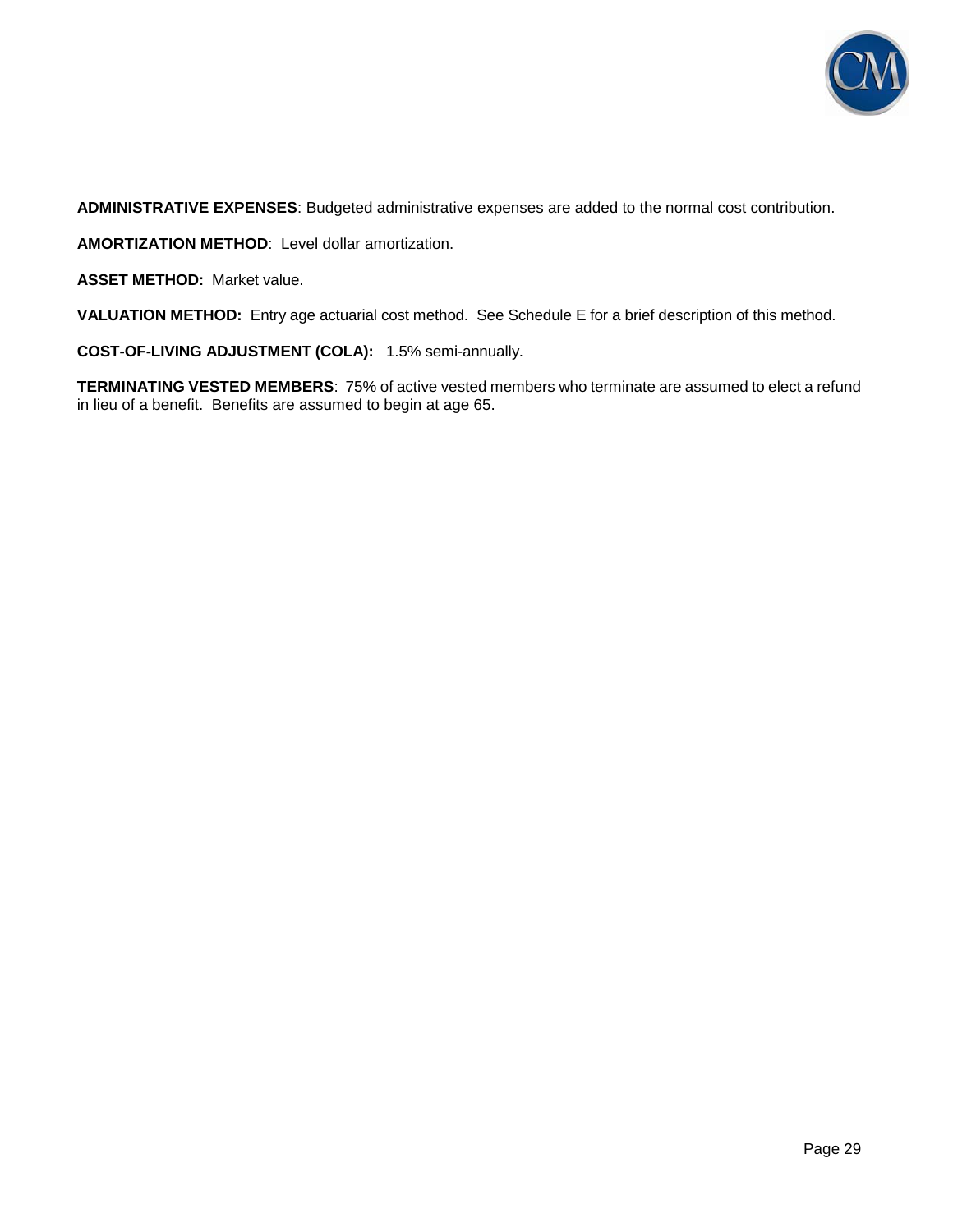

**ADMINISTRATIVE EXPENSES**: Budgeted administrative expenses are added to the normal cost contribution.

**AMORTIZATION METHOD**: Level dollar amortization.

**ASSET METHOD:** Market value.

**VALUATION METHOD:** Entry age actuarial cost method. See Schedule E for a brief description of this method.

**COST-OF-LIVING ADJUSTMENT (COLA):** 1.5% semi-annually.

**TERMINATING VESTED MEMBERS**: 75% of active vested members who terminate are assumed to elect a refund in lieu of a benefit. Benefits are assumed to begin at age 65.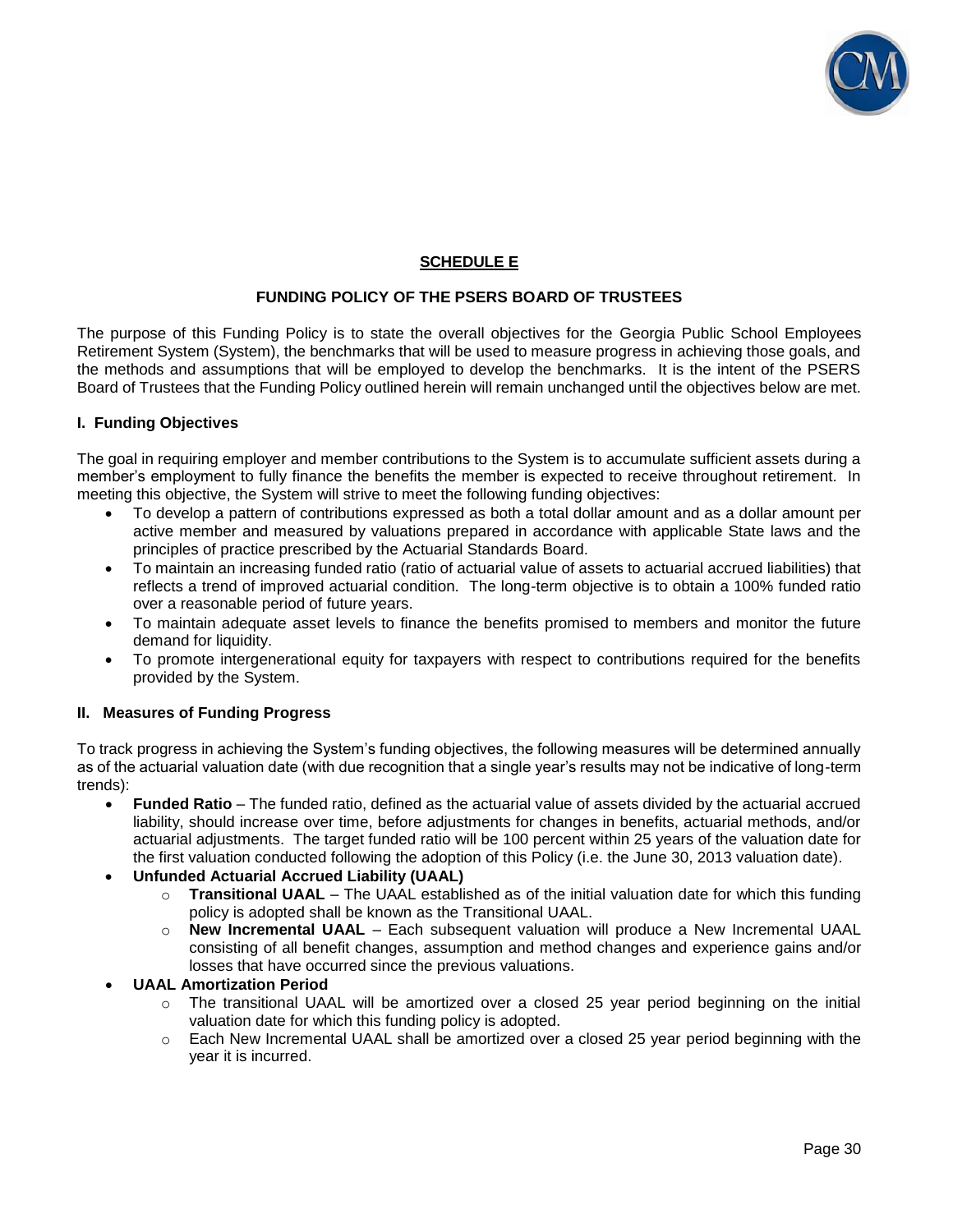

## **SCHEDULE E**

## **FUNDING POLICY OF THE PSERS BOARD OF TRUSTEES**

The purpose of this Funding Policy is to state the overall objectives for the Georgia Public School Employees Retirement System (System), the benchmarks that will be used to measure progress in achieving those goals, and the methods and assumptions that will be employed to develop the benchmarks. It is the intent of the PSERS Board of Trustees that the Funding Policy outlined herein will remain unchanged until the objectives below are met.

#### **I. Funding Objectives**

The goal in requiring employer and member contributions to the System is to accumulate sufficient assets during a member's employment to fully finance the benefits the member is expected to receive throughout retirement. In meeting this objective, the System will strive to meet the following funding objectives:

- To develop a pattern of contributions expressed as both a total dollar amount and as a dollar amount per active member and measured by valuations prepared in accordance with applicable State laws and the principles of practice prescribed by the Actuarial Standards Board.
- To maintain an increasing funded ratio (ratio of actuarial value of assets to actuarial accrued liabilities) that reflects a trend of improved actuarial condition. The long-term objective is to obtain a 100% funded ratio over a reasonable period of future years.
- To maintain adequate asset levels to finance the benefits promised to members and monitor the future demand for liquidity.
- To promote intergenerational equity for taxpayers with respect to contributions required for the benefits provided by the System.

## **II. Measures of Funding Progress**

To track progress in achieving the System's funding objectives, the following measures will be determined annually as of the actuarial valuation date (with due recognition that a single year's results may not be indicative of long-term trends):

- **Funded Ratio** The funded ratio, defined as the actuarial value of assets divided by the actuarial accrued liability, should increase over time, before adjustments for changes in benefits, actuarial methods, and/or actuarial adjustments. The target funded ratio will be 100 percent within 25 years of the valuation date for the first valuation conducted following the adoption of this Policy (i.e. the June 30, 2013 valuation date).
- **Unfunded Actuarial Accrued Liability (UAAL)**
	- o **Transitional UAAL** The UAAL established as of the initial valuation date for which this funding policy is adopted shall be known as the Transitional UAAL.
	- o **New Incremental UAAL** Each subsequent valuation will produce a New Incremental UAAL consisting of all benefit changes, assumption and method changes and experience gains and/or losses that have occurred since the previous valuations.

#### **UAAL Amortization Period**

- $\circ$  The transitional UAAL will be amortized over a closed 25 year period beginning on the initial valuation date for which this funding policy is adopted.
- $\circ$  Each New Incremental UAAL shall be amortized over a closed 25 year period beginning with the year it is incurred.